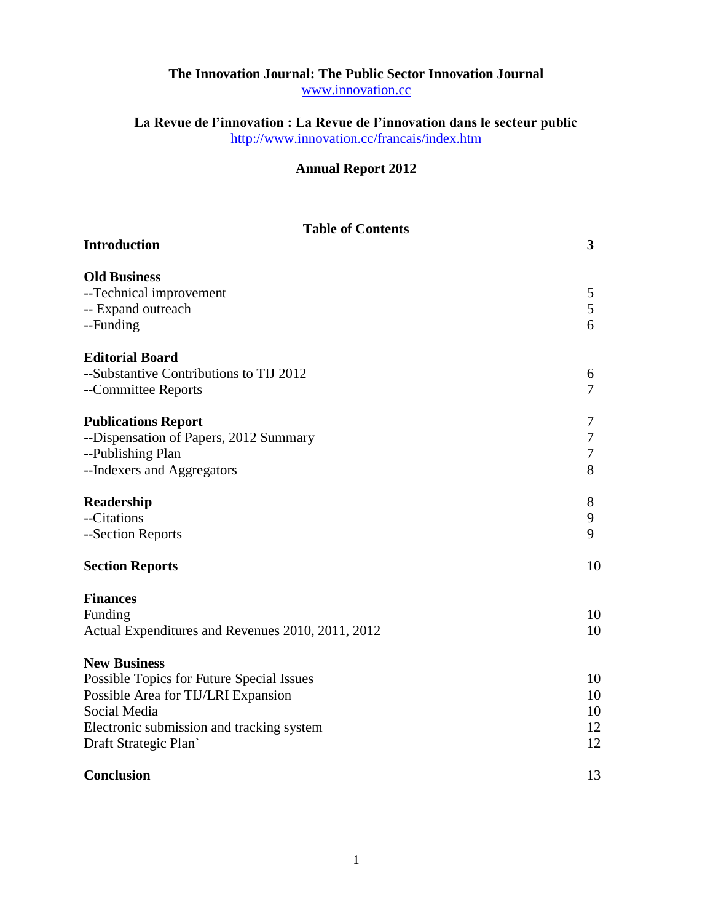## **The Innovation Journal: The Public Sector Innovation Journal** [www.innovation.cc](http://www.innovation.cc/)

**La Revue de l'innovation : La Revue de l'innovation dans le secteur public** <http://www.innovation.cc/francais/index.htm>

## **Annual Report 2012**

| <b>Table of Contents</b>                          |                |
|---------------------------------------------------|----------------|
| <b>Introduction</b>                               | $\mathbf{3}$   |
| <b>Old Business</b>                               |                |
| --Technical improvement                           | 5              |
| -- Expand outreach                                | 5              |
| --Funding                                         | 6              |
| <b>Editorial Board</b>                            |                |
| --Substantive Contributions to TIJ 2012           | 6              |
| --Committee Reports                               | $\overline{7}$ |
| <b>Publications Report</b>                        | 7              |
| --Dispensation of Papers, 2012 Summary            | $\tau$         |
| --Publishing Plan                                 | $\tau$         |
| --Indexers and Aggregators                        | 8              |
| Readership                                        | 8              |
| --Citations                                       | 9              |
| --Section Reports                                 | 9              |
| <b>Section Reports</b>                            | 10             |
| <b>Finances</b>                                   |                |
| Funding                                           | 10             |
| Actual Expenditures and Revenues 2010, 2011, 2012 | 10             |
| <b>New Business</b>                               |                |
| Possible Topics for Future Special Issues         | 10             |
| Possible Area for TIJ/LRI Expansion               | 10             |
| Social Media                                      | 10             |
| Electronic submission and tracking system         | 12             |
| Draft Strategic Plan                              | 12             |
| <b>Conclusion</b>                                 | 13             |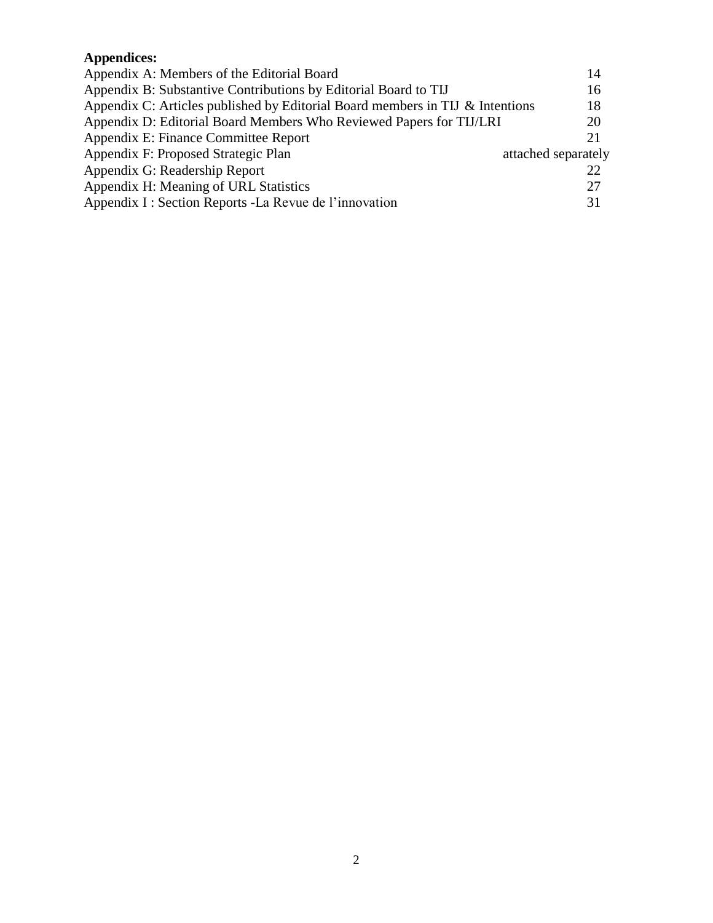# **Appendices:**

| Appendix A: Members of the Editorial Board                                    | 14                  |
|-------------------------------------------------------------------------------|---------------------|
| Appendix B: Substantive Contributions by Editorial Board to TIJ               | 16                  |
| Appendix C: Articles published by Editorial Board members in TIJ & Intentions | 18                  |
| Appendix D: Editorial Board Members Who Reviewed Papers for TIJ/LRI           | 20                  |
| Appendix E: Finance Committee Report                                          | 21                  |
| Appendix F: Proposed Strategic Plan                                           | attached separately |
| Appendix G: Readership Report                                                 | 22                  |
| Appendix H: Meaning of URL Statistics                                         | 27                  |
| Appendix I : Section Reports - La Revue de l'innovation                       | 31                  |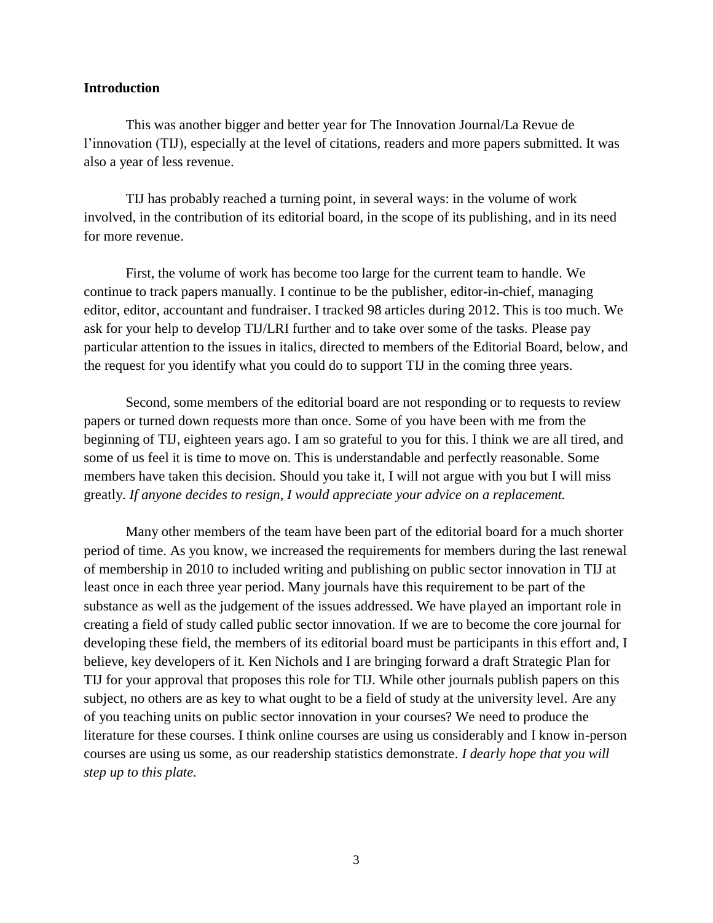#### **Introduction**

This was another bigger and better year for The Innovation Journal/La Revue de l'innovation (TIJ), especially at the level of citations, readers and more papers submitted. It was also a year of less revenue.

TIJ has probably reached a turning point, in several ways: in the volume of work involved, in the contribution of its editorial board, in the scope of its publishing, and in its need for more revenue.

First, the volume of work has become too large for the current team to handle. We continue to track papers manually. I continue to be the publisher, editor-in-chief, managing editor, editor, accountant and fundraiser. I tracked 98 articles during 2012. This is too much. We ask for your help to develop TIJ/LRI further and to take over some of the tasks. Please pay particular attention to the issues in italics, directed to members of the Editorial Board, below, and the request for you identify what you could do to support TIJ in the coming three years.

Second, some members of the editorial board are not responding or to requests to review papers or turned down requests more than once. Some of you have been with me from the beginning of TIJ, eighteen years ago. I am so grateful to you for this. I think we are all tired, and some of us feel it is time to move on. This is understandable and perfectly reasonable. Some members have taken this decision. Should you take it, I will not argue with you but I will miss greatly. *If anyone decides to resign, I would appreciate your advice on a replacement.*

Many other members of the team have been part of the editorial board for a much shorter period of time. As you know, we increased the requirements for members during the last renewal of membership in 2010 to included writing and publishing on public sector innovation in TIJ at least once in each three year period. Many journals have this requirement to be part of the substance as well as the judgement of the issues addressed. We have played an important role in creating a field of study called public sector innovation. If we are to become the core journal for developing these field, the members of its editorial board must be participants in this effort and, I believe, key developers of it. Ken Nichols and I are bringing forward a draft Strategic Plan for TIJ for your approval that proposes this role for TIJ. While other journals publish papers on this subject, no others are as key to what ought to be a field of study at the university level. Are any of you teaching units on public sector innovation in your courses? We need to produce the literature for these courses. I think online courses are using us considerably and I know in-person courses are using us some, as our readership statistics demonstrate*. I dearly hope that you will step up to this plate.*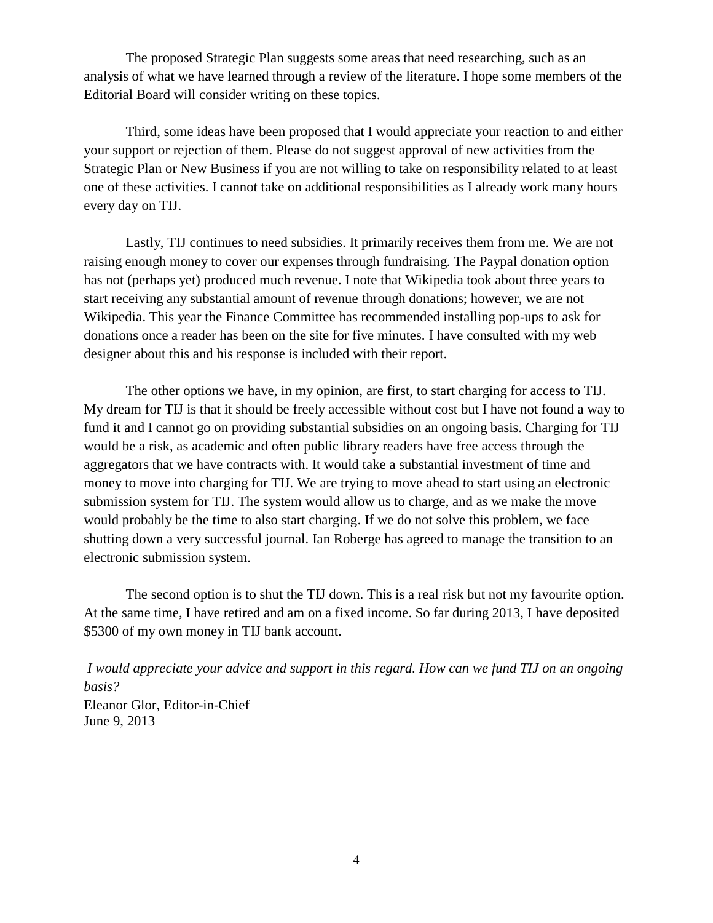The proposed Strategic Plan suggests some areas that need researching, such as an analysis of what we have learned through a review of the literature. I hope some members of the Editorial Board will consider writing on these topics.

Third, some ideas have been proposed that I would appreciate your reaction to and either your support or rejection of them. Please do not suggest approval of new activities from the Strategic Plan or New Business if you are not willing to take on responsibility related to at least one of these activities. I cannot take on additional responsibilities as I already work many hours every day on TIJ.

Lastly, TIJ continues to need subsidies. It primarily receives them from me. We are not raising enough money to cover our expenses through fundraising. The Paypal donation option has not (perhaps yet) produced much revenue. I note that Wikipedia took about three years to start receiving any substantial amount of revenue through donations; however, we are not Wikipedia. This year the Finance Committee has recommended installing pop-ups to ask for donations once a reader has been on the site for five minutes. I have consulted with my web designer about this and his response is included with their report.

The other options we have, in my opinion, are first, to start charging for access to TIJ. My dream for TIJ is that it should be freely accessible without cost but I have not found a way to fund it and I cannot go on providing substantial subsidies on an ongoing basis. Charging for TIJ would be a risk, as academic and often public library readers have free access through the aggregators that we have contracts with. It would take a substantial investment of time and money to move into charging for TIJ. We are trying to move ahead to start using an electronic submission system for TIJ. The system would allow us to charge, and as we make the move would probably be the time to also start charging. If we do not solve this problem, we face shutting down a very successful journal. Ian Roberge has agreed to manage the transition to an electronic submission system.

The second option is to shut the TIJ down. This is a real risk but not my favourite option. At the same time, I have retired and am on a fixed income. So far during 2013, I have deposited \$5300 of my own money in TIJ bank account.

*I would appreciate your advice and support in this regard. How can we fund TIJ on an ongoing basis?* Eleanor Glor, Editor-in-Chief June 9, 2013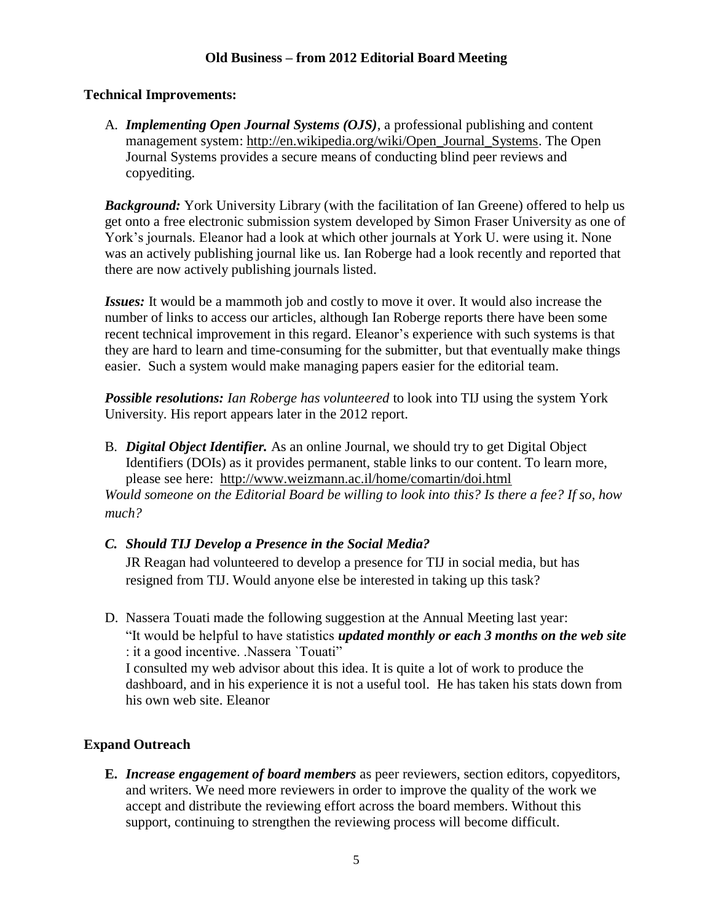### **Old Business – from 2012 Editorial Board Meeting**

#### **Technical Improvements:**

A. *Implementing Open Journal Systems (OJS)*, a professional publishing and content management system: [http://en.wikipedia.org/wiki/Open\\_Journal\\_Systems.](http://en.wikipedia.org/wiki/Open_Journal_Systems) The Open Journal Systems provides a secure means of conducting blind peer reviews and copyediting.

**Background:** York University Library (with the facilitation of Ian Greene) offered to help us get onto a free electronic submission system developed by Simon Fraser University as one of York's journals. Eleanor had a look at which other journals at York U. were using it. None was an actively publishing journal like us. Ian Roberge had a look recently and reported that there are now actively publishing journals listed.

*Issues:* It would be a mammoth job and costly to move it over. It would also increase the number of links to access our articles, although Ian Roberge reports there have been some recent technical improvement in this regard. Eleanor's experience with such systems is that they are hard to learn and time-consuming for the submitter, but that eventually make things easier. Such a system would make managing papers easier for the editorial team.

*Possible resolutions: Ian Roberge has volunteered* to look into TIJ using the system York University. His report appears later in the 2012 report.

B. *Digital Object Identifier.* As an online Journal, we should try to get Digital Object Identifiers (DOIs) as it provides permanent, stable links to our content. To learn more, please see here: <http://www.weizmann.ac.il/home/comartin/doi.html>

*Would someone on the Editorial Board be willing to look into this? Is there a fee? If so, how much?*

#### *C. Should TIJ Develop a Presence in the Social Media?*

JR Reagan had volunteered to develop a presence for TIJ in social media, but has resigned from TIJ. Would anyone else be interested in taking up this task?

D. Nassera Touati made the following suggestion at the Annual Meeting last year: "It would be helpful to have statistics *updated monthly or each 3 months on the web site*  : it a good incentive. .Nassera `Touati" I consulted my web advisor about this idea. It is quite a lot of work to produce the dashboard, and in his experience it is not a useful tool. He has taken his stats down from his own web site. Eleanor

#### **Expand Outreach**

**E.** *Increase engagement of board members* as peer reviewers, section editors, copyeditors, and writers. We need more reviewers in order to improve the quality of the work we accept and distribute the reviewing effort across the board members. Without this support, continuing to strengthen the reviewing process will become difficult.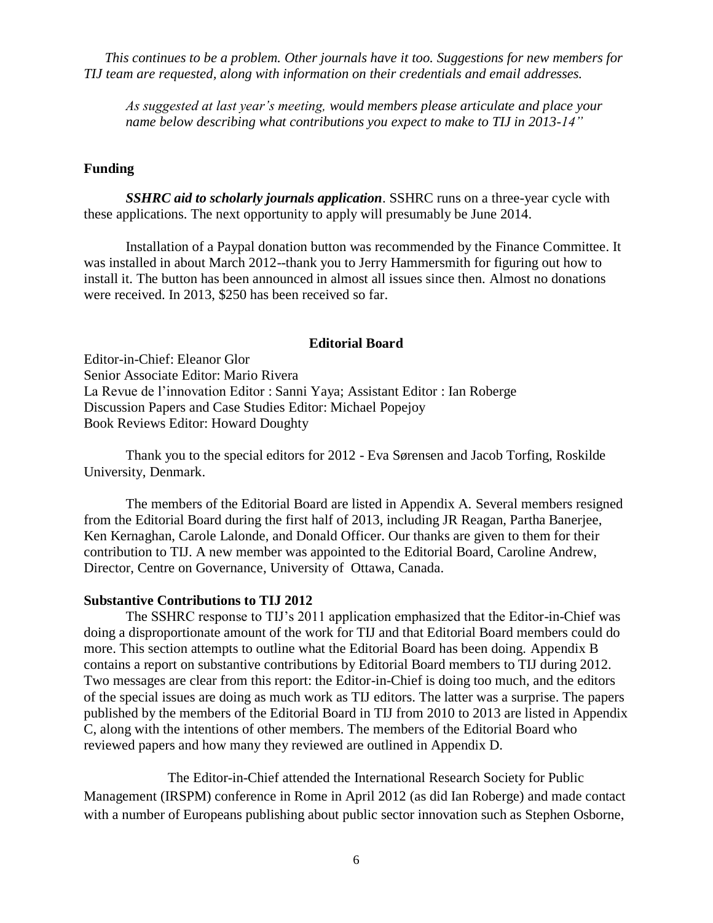*This continues to be a problem. Other journals have it too. Suggestions for new members for TIJ team are requested, along with information on their credentials and email addresses.*

*As suggested at last year's meeting, would members please articulate and place your name below describing what contributions you expect to make to TIJ in 2013-14"*

#### **Funding**

*SSHRC aid to scholarly journals application*. SSHRC runs on a three-year cycle with these applications. The next opportunity to apply will presumably be June 2014.

Installation of a Paypal donation button was recommended by the Finance Committee. It was installed in about March 2012--thank you to Jerry Hammersmith for figuring out how to install it. The button has been announced in almost all issues since then. Almost no donations were received. In 2013, \$250 has been received so far.

#### **Editorial Board**

Editor-in-Chief: Eleanor Glor Senior Associate Editor: Mario Rivera La Revue de l'innovation Editor : Sanni Yaya; Assistant Editor : Ian Roberge Discussion Papers and Case Studies Editor: Michael Popejoy Book Reviews Editor: Howard Doughty

Thank you to the special editors for 2012 - Eva Sørensen and Jacob Torfing, Roskilde University, Denmark.

The members of the Editorial Board are listed in Appendix A. Several members resigned from the Editorial Board during the first half of 2013, including JR Reagan, Partha Banerjee, Ken Kernaghan, Carole Lalonde, and Donald Officer. Our thanks are given to them for their contribution to TIJ. A new member was appointed to the Editorial Board, Caroline Andrew, Director, Centre on Governance, University of Ottawa, Canada.

#### **Substantive Contributions to TIJ 2012**

The SSHRC response to TIJ's 2011 application emphasized that the Editor-in-Chief was doing a disproportionate amount of the work for TIJ and that Editorial Board members could do more. This section attempts to outline what the Editorial Board has been doing. Appendix B contains a report on substantive contributions by Editorial Board members to TIJ during 2012. Two messages are clear from this report: the Editor-in-Chief is doing too much, and the editors of the special issues are doing as much work as TIJ editors. The latter was a surprise. The papers published by the members of the Editorial Board in TIJ from 2010 to 2013 are listed in Appendix C, along with the intentions of other members. The members of the Editorial Board who reviewed papers and how many they reviewed are outlined in Appendix D.

The Editor-in-Chief attended the International Research Society for Public Management (IRSPM) conference in Rome in April 2012 (as did Ian Roberge) and made contact with a number of Europeans publishing about public sector innovation such as Stephen Osborne,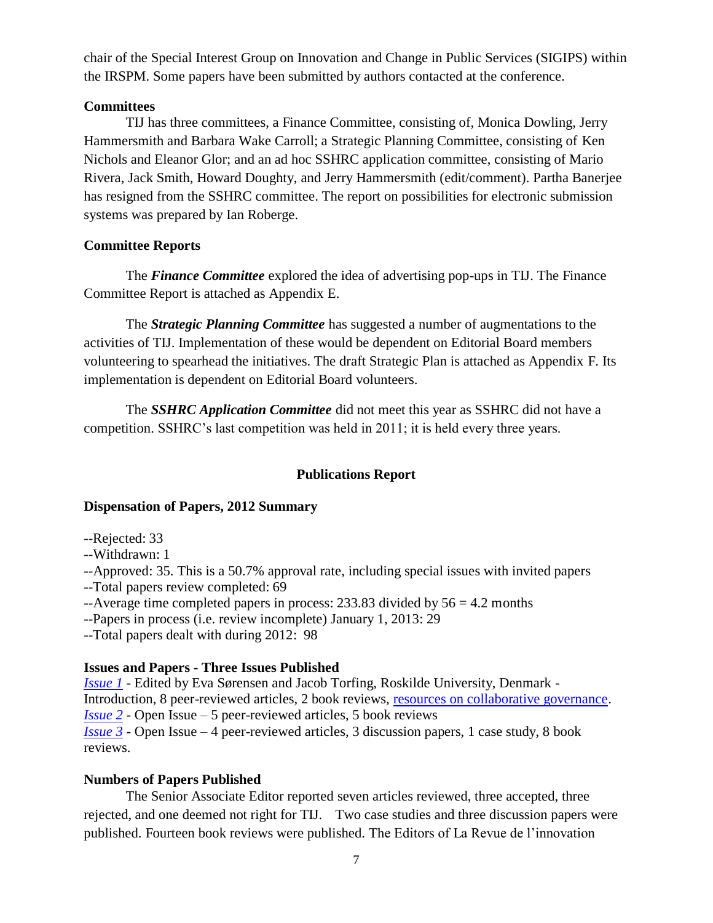chair of the Special Interest Group on Innovation and Change in Public Services (SIGIPS) within the IRSPM. Some papers have been submitted by authors contacted at the conference.

### **Committees**

TIJ has three committees, a Finance Committee, consisting of, Monica Dowling, Jerry Hammersmith and Barbara Wake Carroll; a Strategic Planning Committee, consisting of Ken Nichols and Eleanor Glor; and an ad hoc SSHRC application committee, consisting of Mario Rivera, Jack Smith, Howard Doughty, and Jerry Hammersmith (edit/comment). Partha Banerjee has resigned from the SSHRC committee. The report on possibilities for electronic submission systems was prepared by Ian Roberge.

## **Committee Reports**

The *Finance Committee* explored the idea of advertising pop-ups in TIJ. The Finance Committee Report is attached as Appendix E.

The *Strategic Planning Committee* has suggested a number of augmentations to the activities of TIJ. Implementation of these would be dependent on Editorial Board members volunteering to spearhead the initiatives. The draft Strategic Plan is attached as Appendix F. Its implementation is dependent on Editorial Board volunteers.

The *SSHRC Application Committee* did not meet this year as SSHRC did not have a competition. SSHRC's last competition was held in 2011; it is held every three years.

## **Publications Report**

## **Dispensation of Papers, 2012 Summary**

- --Rejected: 33
- --Withdrawn: 1
- --Approved: 35. This is a 50.7% approval rate, including special issues with invited papers
- --Total papers review completed: 69
- $-$ Average time completed papers in process: 233.83 divided by  $56 = 4.2$  months
- --Papers in process (i.e. review incomplete) January 1, 2013: 29
- --Total papers dealt with during 2012: 98

## **Issues and Papers - Three Issues Published**

*[Issue 1](http://www.innovation.cc/volumes-issues/vol17-no1.htm)* - Edited by Eva Sørensen and Jacob Torfing, Roskilde University, Denmark - Introduction, 8 peer-reviewed articles, 2 book reviews, [resources on collaborative governance.](http://www.maxwell.syr.edu/parc/eparc/) *[Issue 2](http://www.innovation.cc/volumes-issues/vol17-no2.htm)* - Open Issue – 5 peer-reviewed articles, 5 book reviews *[Issue 3](http://www.innovation.cc/volumes-issues/vol17-no3.htm)* - Open Issue – 4 peer-reviewed articles, 3 discussion papers, 1 case study, 8 book reviews.

## **Numbers of Papers Published**

The Senior Associate Editor reported seven articles reviewed, three accepted, three rejected, and one deemed not right for TIJ. Two case studies and three discussion papers were published. Fourteen book reviews were published. The Editors of La Revue de l'innovation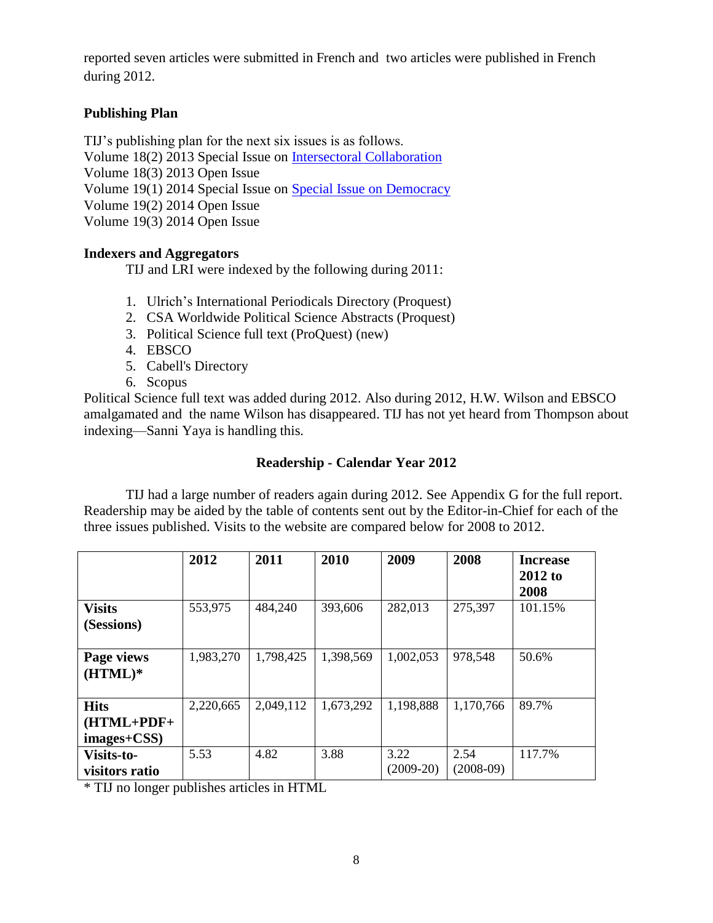reported seven articles were submitted in French and two articles were published in French during 2012.

## **Publishing Plan**

TIJ's publishing plan for the next six issues is as follows. Volume 18(2) 2013 Special Issue on [Intersectoral Collaboration](http://www.innovation.cc/call-for-papers/call_papers18collaboration2011english2divay.pdf) Volume 18(3) 2013 Open Issue Volume 19(1) 2014 Special Issue on [Special Issue on Democracy](http://www.innovation.cc/call-for-papers/call_papers_vol19%281%292013_democracy5apd.pdf) Volume 19(2) 2014 Open Issue Volume 19(3) 2014 Open Issue

### **Indexers and Aggregators**

TIJ and LRI were indexed by the following during 2011:

- 1. Ulrich's International Periodicals Directory (Proquest)
- 2. CSA Worldwide Political Science Abstracts (Proquest)
- 3. Political Science full text (ProQuest) (new)
- 4. EBSCO
- 5. Cabell's Directory
- 6. Scopus

Political Science full text was added during 2012. Also during 2012, H.W. Wilson and EBSCO amalgamated and the name Wilson has disappeared. TIJ has not yet heard from Thompson about indexing—Sanni Yaya is handling this.

### **Readership - Calendar Year 2012**

TIJ had a large number of readers again during 2012. See Appendix G for the full report. Readership may be aided by the table of contents sent out by the Editor-in-Chief for each of the three issues published. Visits to the website are compared below for 2008 to 2012.

|                                                | 2012      | 2011      | 2010      | 2009                | 2008                | <b>Increase</b><br>$2012$ to<br>2008 |
|------------------------------------------------|-----------|-----------|-----------|---------------------|---------------------|--------------------------------------|
| <b>Visits</b><br>(Sessions)                    | 553,975   | 484,240   | 393,606   | 282,013             | 275,397             | 101.15%                              |
| Page views<br>$(HTML)*$                        | 1,983,270 | 1,798,425 | 1,398,569 | 1,002,053           | 978,548             | 50.6%                                |
| <b>Hits</b><br>$(HTML+PDF+$<br>$images + CSS)$ | 2,220,665 | 2,049,112 | 1,673,292 | 1,198,888           | 1,170,766           | 89.7%                                |
| Visits-to-<br>visitors ratio                   | 5.53      | 4.82      | 3.88      | 3.22<br>$(2009-20)$ | 2.54<br>$(2008-09)$ | 117.7%                               |

\* TIJ no longer publishes articles in HTML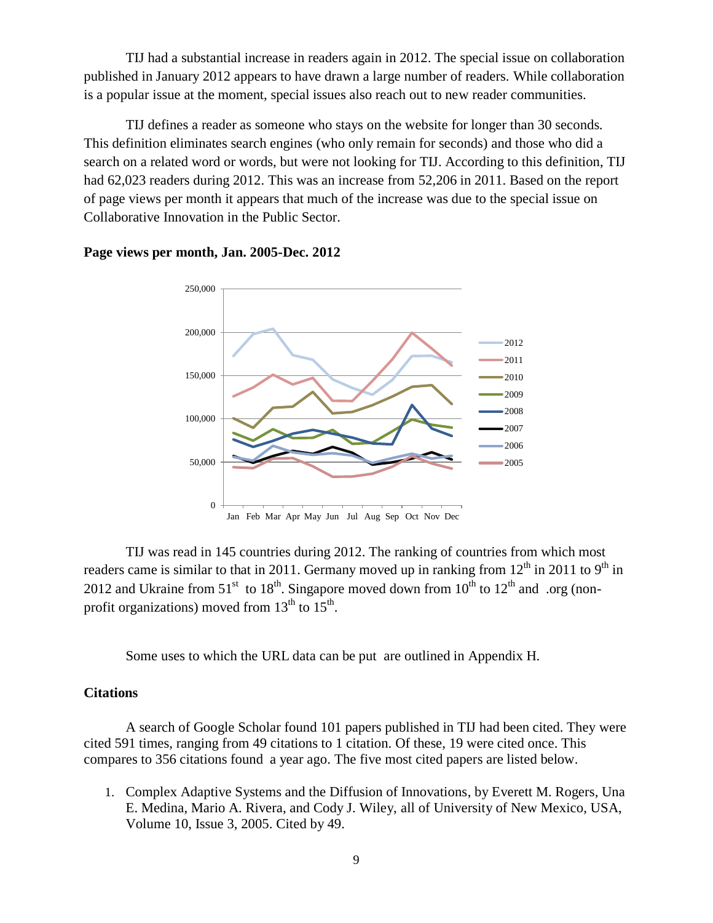TIJ had a substantial increase in readers again in 2012. The special issue on collaboration published in January 2012 appears to have drawn a large number of readers. While collaboration is a popular issue at the moment, special issues also reach out to new reader communities.

TIJ defines a reader as someone who stays on the website for longer than 30 seconds. This definition eliminates search engines (who only remain for seconds) and those who did a search on a related word or words, but were not looking for TIJ. According to this definition, TIJ had 62,023 readers during 2012. This was an increase from 52,206 in 2011. Based on the report of page views per month it appears that much of the increase was due to the special issue on Collaborative Innovation in the Public Sector.



#### **Page views per month, Jan. 2005-Dec. 2012**

TIJ was read in 145 countries during 2012. The ranking of countries from which most readers came is similar to that in 2011. Germany moved up in ranking from  $12<sup>th</sup>$  in 2011 to 9<sup>th</sup> in 2012 and Ukraine from 51<sup>st</sup> to 18<sup>th</sup>. Singapore moved down from 10<sup>th</sup> to 12<sup>th</sup> and .org (nonprofit organizations) moved from  $13^{th}$  to  $15^{th}$ .

Some uses to which the URL data can be put are outlined in Appendix H.

#### **Citations**

A search of Google Scholar found 101 papers published in TIJ had been cited. They were cited 591 times, ranging from 49 citations to 1 citation. Of these, 19 were cited once. This compares to 356 citations found a year ago. The five most cited papers are listed below.

1. [Complex Adaptive Systems and the Diffusion of Innovations,](http://www.innovation.cc/peer-reviewed/rogers-adaptivesystem7finalv10i3a3.pdf) by Everett M. Rogers, Una E. Medina, Mario A. Rivera, and Cody J. Wiley, all of University of New Mexico, USA, Volume 10, Issue 3, 2005. Cited by 49.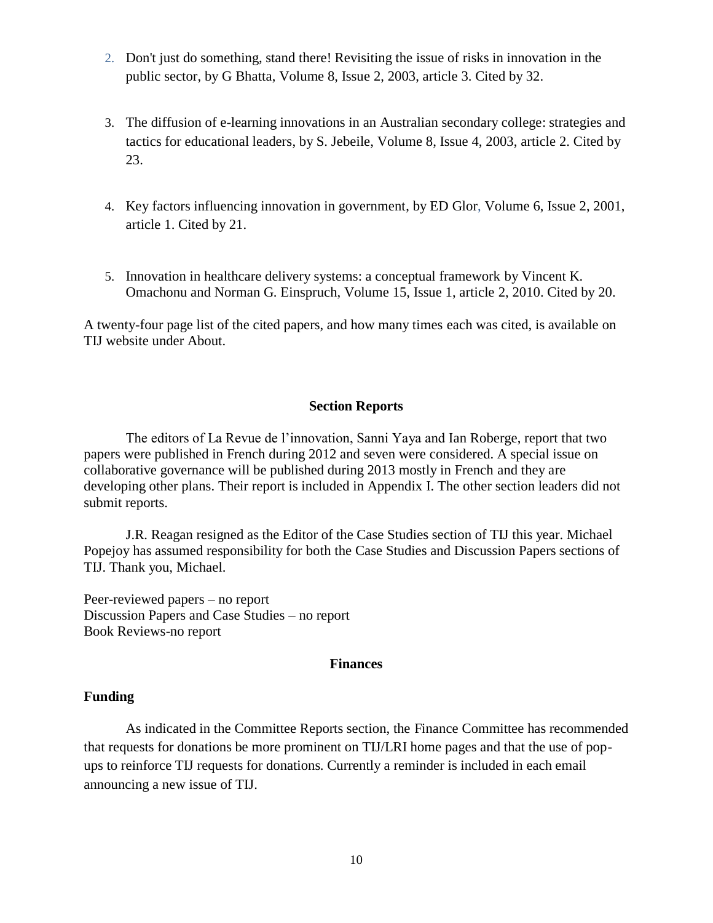- 2. [Don't just do something, stand there! Revisiting the issue of risks in innovation in the](http://innovation.cc/scholarly-style/bhatta-risks.pdf)  [public sector,](http://innovation.cc/scholarly-style/bhatta-risks.pdf) by G Bhatta, Volume 8, Issue 2, 2003, article 3. [Cited by 32.](http://scholar.google.ca/scholar?cites=7890633745650150300&as_sdt=2005&sciodt=0,5&hl=en)
- 3. [The diffusion of e-learning innovations in an Australian secondary college: strategies and](http://www.innovation.cc/scholarly-style/jebeile-reeve-elearning.pdf)  [tactics for educational leaders,](http://www.innovation.cc/scholarly-style/jebeile-reeve-elearning.pdf) by S. Jebeile, Volume 8, Issue 4, 2003, article 2. [Cited by](http://scholar.google.ca/scholar?cites=854485082706919690&as_sdt=2005&sciodt=0,5&hl=en)  [23.](http://scholar.google.ca/scholar?cites=854485082706919690&as_sdt=2005&sciodt=0,5&hl=en)
- 4. [Key factors influencing innovation in government,](https://innovation.cc/scholarly-style/key-factor-gor.pdf) by ED Glor, Volume 6, Issue 2, 2001, article 1. [Cited by 21.](http://scholar.google.ca/scholar?cites=16260896893035755587&as_sdt=2005&sciodt=0,5&hl=en)
- 5. [Innovation in healthcare delivery systems: a conceptual framework](https://innovation.cc/scholarly-style/omachonu_healthcare_3innovate2.pdf) by Vincent K. Omachonu and Norman G. Einspruch, Volume 15, Issue 1, article 2, 2010. [Cited by 20.](http://scholar.google.ca/scholar?cites=18082371532437631031&as_sdt=2005&sciodt=0,5&hl=en)

A twenty-four page list of the cited papers, and how many times each was cited, is available on TIJ website under About.

#### **Section Reports**

The editors of La Revue de l'innovation, Sanni Yaya and Ian Roberge, report that two papers were published in French during 2012 and seven were considered. A special issue on collaborative governance will be published during 2013 mostly in French and they are developing other plans. Their report is included in Appendix I. The other section leaders did not submit reports.

J.R. Reagan resigned as the Editor of the Case Studies section of TIJ this year. Michael Popejoy has assumed responsibility for both the Case Studies and Discussion Papers sections of TIJ. Thank you, Michael.

Peer-reviewed papers – no report Discussion Papers and Case Studies – no report Book Reviews-no report

#### **Finances**

#### **Funding**

As indicated in the Committee Reports section, the Finance Committee has recommended that requests for donations be more prominent on TIJ/LRI home pages and that the use of popups to reinforce TIJ requests for donations. Currently a reminder is included in each email announcing a new issue of TIJ.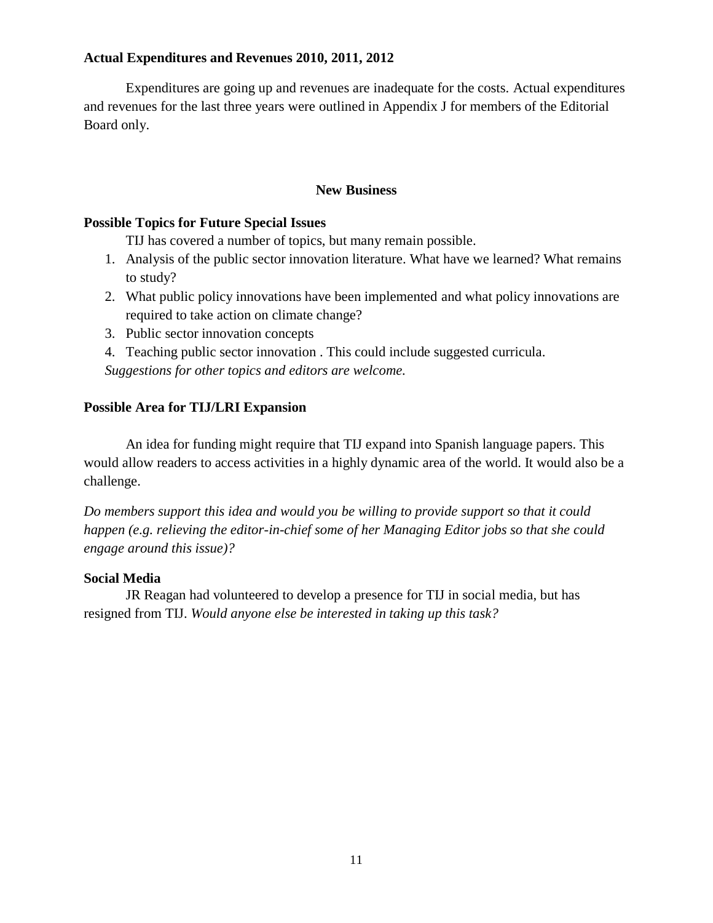### **Actual Expenditures and Revenues 2010, 2011, 2012**

Expenditures are going up and revenues are inadequate for the costs. Actual expenditures and revenues for the last three years were outlined in Appendix J for members of the Editorial Board only.

#### **New Business**

#### **Possible Topics for Future Special Issues**

TIJ has covered a number of topics, but many remain possible.

- 1. Analysis of the public sector innovation literature. What have we learned? What remains to study?
- 2. What public policy innovations have been implemented and what policy innovations are required to take action on climate change?
- 3. Public sector innovation concepts

4. Teaching public sector innovation . This could include suggested curricula. *Suggestions for other topics and editors are welcome.*

#### **Possible Area for TIJ/LRI Expansion**

An idea for funding might require that TIJ expand into Spanish language papers. This would allow readers to access activities in a highly dynamic area of the world. It would also be a challenge.

*Do members support this idea and would you be willing to provide support so that it could happen (e.g. relieving the editor-in-chief some of her Managing Editor jobs so that she could engage around this issue)?*

#### **Social Media**

JR Reagan had volunteered to develop a presence for TIJ in social media, but has resigned from TIJ. *Would anyone else be interested in taking up this task?*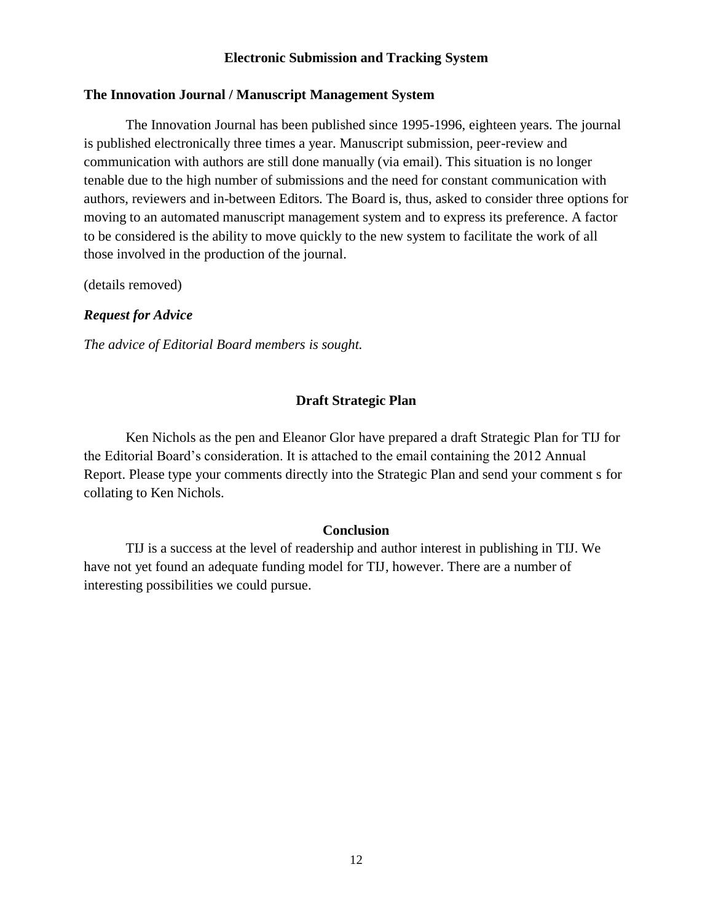#### **Electronic Submission and Tracking System**

#### **The Innovation Journal / Manuscript Management System**

The Innovation Journal has been published since 1995-1996, eighteen years. The journal is published electronically three times a year. Manuscript submission, peer-review and communication with authors are still done manually (via email). This situation is no longer tenable due to the high number of submissions and the need for constant communication with authors, reviewers and in-between Editors. The Board is, thus, asked to consider three options for moving to an automated manuscript management system and to express its preference. A factor to be considered is the ability to move quickly to the new system to facilitate the work of all those involved in the production of the journal.

(details removed)

#### *Request for Advice*

*The advice of Editorial Board members is sought.*

#### **Draft Strategic Plan**

Ken Nichols as the pen and Eleanor Glor have prepared a draft Strategic Plan for TIJ for the Editorial Board's consideration. It is attached to the email containing the 2012 Annual Report. Please type your comments directly into the Strategic Plan and send your comment s for collating to Ken Nichols.

#### **Conclusion**

TIJ is a success at the level of readership and author interest in publishing in TIJ. We have not yet found an adequate funding model for TIJ, however. There are a number of interesting possibilities we could pursue.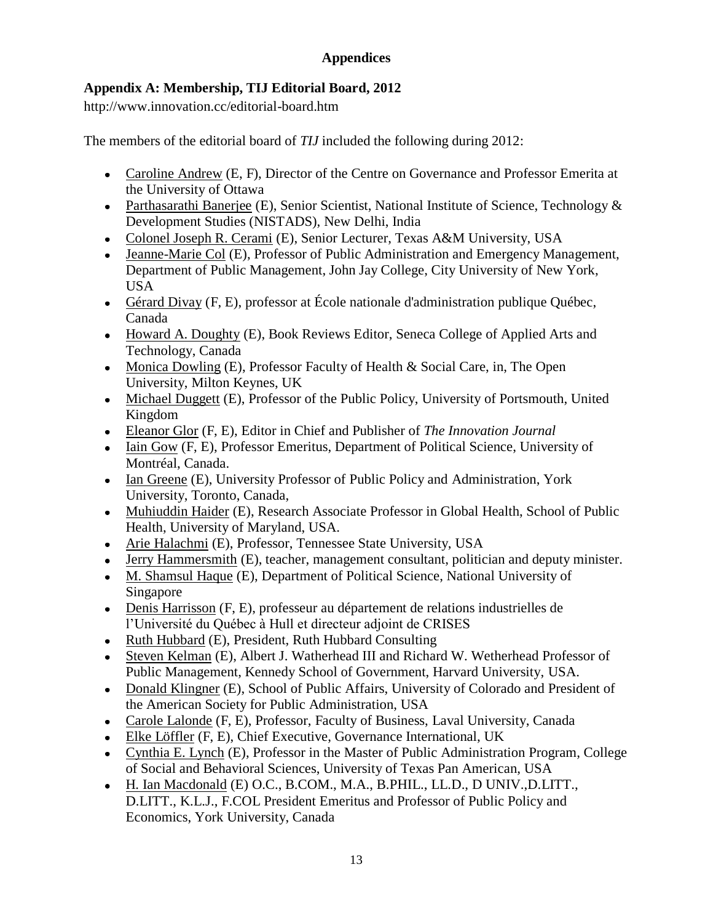## **Appendices**

## **Appendix A: Membership, TIJ Editorial Board, 2012**

http://www.innovation.cc/editorial-board.htm

The members of the editorial board of *TIJ* included the following during 2012:

- [Caroline](http://www.innovation.cc/editorial-board/caroline_andrew.htm) Andrew (E, F), Director of the Centre on Governance and Professor Emerita at the University of Ottawa
- [Parthasarathi Banerjee](http://www.innovation.cc/editorial-board/banerjee.htm) (E), Senior Scientist, National Institute of Science, Technology & Development Studies (NISTADS), New Delhi, India
- [Colonel Joseph R. Cerami](http://www.innovation.cc/editorial-board/cerami.htm) (E), Senior Lecturer, Texas A&M University, USA
- [Jeanne-Marie Col](http://www.innovation.cc/editorial-board/col.htm) (E), Professor of Public Administration and Emergency Management, Department of Public Management, John Jay College, City University of New York, USA
- [Gérard Divay](http://www.innovation.cc/editorial-board/divay_gerard.htm) (F, E), professor at École nationale d'administration publique Québec, Canada
- [Howard A. Doughty](http://www.innovation.cc/editorial-board/doughty.htm) (E), Book Reviews Editor, Seneca College of Applied Arts and Technology, Canada
- [Monica Dowling](http://www.innovation.cc/editorial-board/dowling.htm) (E), Professor Faculty of Health & Social Care, in, The Open University, Milton Keynes, UK
- [Michael Duggett](http://www.innovation.cc/editorial-board/dugget.htm) (E), Professor of the Public Policy, University of Portsmouth, United Kingdom
- [Eleanor Glor](http://www.innovation.cc/editorial-board/glor.htm) (F, E), Editor in Chief and Publisher of *The Innovation Journal*
- [Iain Gow](http://www.innovation.cc/editorial-board/grow_english_cv.htm) (F, E), Professor Emeritus, Department of Political Science, University of Montréal, Canada.
- [Ian Greene](http://www.innovation.cc/editorial-board/greene_ian.htm) (E), University Professor of Public Policy and Administration, York University, Toronto, Canada,
- [Muhiuddin Haider](http://www.innovation.cc/editorial-board/haider.htm) (E), Research Associate Professor in Global Health, School of Public Health, University of Maryland, USA.
- [Arie Halachmi](http://www.innovation.cc/editorial-board/halachmi.htm) (E), Professor, Tennessee State University, USA
- [Jerry Hammersmith](http://www.innovation.cc/editorial-board/hammersmith.htm) (E), teacher, management consultant, politician and deputy minister.
- [M. Shamsul Haque](http://www.innovation.cc/editorial-board/haque.htm) (E), Department of Political Science, National University of Singapore
- [Denis Harrisson](http://www.innovation.cc/editorial-board/harrisson.htm) (F, E), professeur au département de relations industrielles de l'Université du Québec à Hull et directeur adjoint de CRISES
- [Ruth Hubbard](http://www.innovation.cc/editorial-board/hubbard.htm) (E), President, Ruth Hubbard Consulting
- [Steven Kelman](http://www.innovation.cc/editorial-board/kelman.htm) (E), Albert J. Watherhead III and Richard W. Wetherhead Professor of Public Management, Kennedy School of Government, Harvard University, USA.
- [Donald Klingner](http://www.innovation.cc/editorial-board/kilinger_d.htm) (E), School of Public Affairs, University of Colorado and President of the American Society for Public Administration, USA
- [Carole Lalonde](http://www.innovation.cc/editorial-board/lalonde_bio.htm) (F, E), Professor, Faculty of Business, Laval University, Canada
- [Elke Löffler](http://www.innovation.cc/editorial-board/loeffler.htm) (F, E), Chief Executive, Governance International, UK
- [Cynthia E. Lynch](http://www.innovation.cc/editorial-board/lynch_cynthia.htm) (E), Professor in the Master of Public Administration Program, College of Social and Behavioral Sciences, University of Texas Pan American, USA
- [H. Ian Macdonald](http://www.innovation.cc/editorial-board/macdonald_h_ian.htm) (E) O.C., B.COM., M.A., B.PHIL., LL.D., D UNIV.,D.LITT., D.LITT., K.L.J., F.COL President Emeritus and Professor of Public Policy and Economics, York University, Canada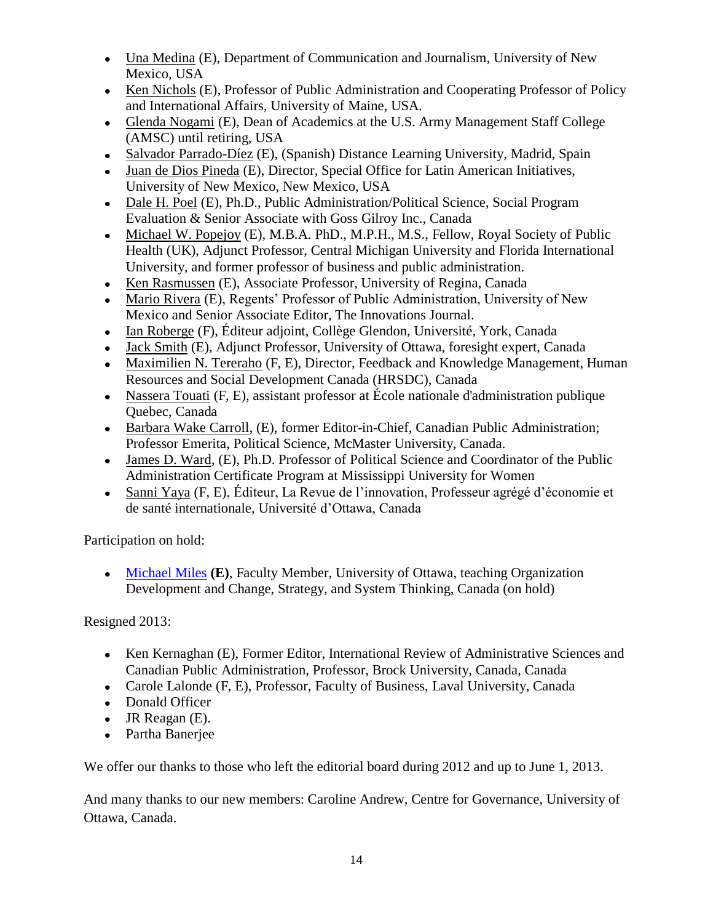- [Una Medina](http://www.innovation.cc/editorial-board/medina.htm) (E), Department of Communication and Journalism, University of New Mexico, USA
- [Ken Nichols](http://www.innovation.cc/editorial-board/nichols.htm) (E), Professor of Public Administration and Cooperating Professor of Policy and International Affairs, University of Maine, USA.
- [Glenda Nogami](http://www.innovation.cc/editorial-board/nogami.htm) (E), Dean of Academics at the U.S. Army Management Staff College (AMSC) until retiring, USA
- [Salvador Parrado-Díez](http://www.innovation.cc/editorial-board/parrado-diez.htm) (E), (Spanish) Distance Learning University, Madrid, Spain
- [Juan de Dios Pineda](http://www.innovation.cc/editorial-board/pinada.htm) (E), Director, Special Office for Latin American Initiatives, University of New Mexico, New Mexico, USA
- [Dale H. Poel](http://www.innovation.cc/editorial-board/pole_dale.htm) (E), Ph.D., Public Administration/Political Science, Social Program Evaluation & Senior Associate with Goss Gilroy Inc., Canada
- [Michael W. Popejoy](http://www.innovation.cc/editorial-board/popejoy_michael.htm) (E), M.B.A. PhD., M.P.H., M.S., Fellow, Royal Society of Public Health (UK), Adjunct Professor, Central Michigan University and Florida International University, and former professor of business and public administration.
- [Ken Rasmussen](http://www.innovation.cc/editorial-board/rasmussen.htm) (E), Associate Professor, University of Regina, Canada
- [Mario Rivera](http://www.innovation.cc/editorial-board/rivera.htm) (E), Regents' Professor of Public Administration, University of New Mexico and Senior Associate Editor, The Innovations Journal.
- [Ian Roberge](http://www.innovation.cc/editorial-board/ian_roberge.htm) (F), Éditeur adjoint, Collège Glendon, Université, York, Canada
- [Jack Smith](http://www.innovation.cc/editorial-board/smith_jack.htm) (E), Adjunct Professor, University of Ottawa, foresight expert, Canada
- [Maximilien N. Tereraho](http://www.innovation.cc/editorial-board/tereaho_bio.htm) (F, E), Director, Feedback and Knowledge Management, Human Resources and Social Development Canada (HRSDC), Canada
- [Nassera Touati](http://www.innovation.cc/editorial-board/touati_bio.htm) (F, E), assistant professor at École nationale d'administration publique Quebec, Canada
- [Barbara Wake Carroll,](http://www.innovation.cc/editorial-board/barbara_wake.htm) (E), former Editor-in-Chief, Canadian Public Administration; Professor Emerita, Political Science, McMaster University, Canada.
- [James D. Ward,](http://www.innovation.cc/editorial-board/james_ward.htm) (E), Ph.D. Professor of Political Science and Coordinator of the Public Administration Certificate Program at Mississippi University for Women
- [Sanni Yaya](http://www.innovation.cc/editorial-board/yaya_bio.htm) (F, E), Éditeur, La Revue de l'innovation, Professeur agrégé d'économie et de santé internationale, Université d'Ottawa, Canada

Participation on hold:

[Michael Miles](http://www.innovation.cc/editorial-board/miles.htm) **(E)**, Faculty Member, University of Ottawa, teaching Organization Development and Change, Strategy, and System Thinking, Canada (on hold)

## Resigned 2013:

- [Ken Kernaghan](http://www.innovation.cc/editorial-board/kernaghan.htm) (E), Former Editor, International Review of Administrative Sciences and Canadian Public Administration, Professor, Brock University, Canada, Canada
- [Carole Lalonde](http://www.innovation.cc/editorial-board/lalonde_bio.htm) (F, E), Professor, Faculty of Business, Laval University, Canada
- Donald Officer
- $\bullet$  JR Reagan (E).
- Partha Baneriee

We offer our thanks to those who left the editorial board during 2012 and up to June 1, 2013.

And many thanks to our new members: Caroline Andrew, Centre for Governance, University of Ottawa, Canada.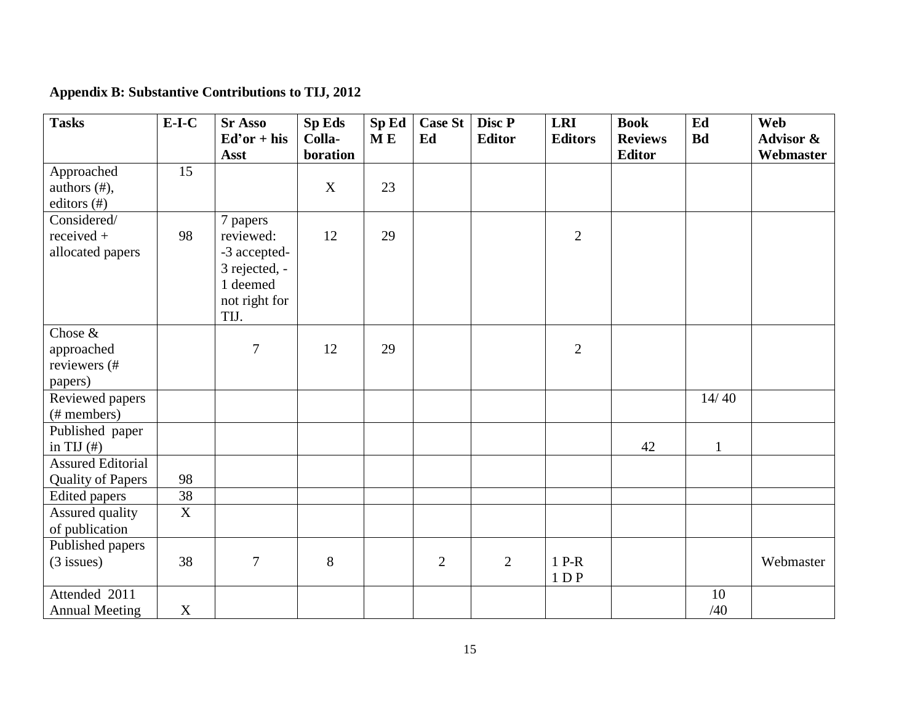| <b>Tasks</b>             | $E-I-C$        | <b>Sr Asso</b> | Sp Eds   | SpEd | <b>Case St</b> | Disc P        | <b>LRI</b>     | <b>Book</b>    | Ed           | <b>Web</b>           |
|--------------------------|----------------|----------------|----------|------|----------------|---------------|----------------|----------------|--------------|----------------------|
|                          |                | $Ed'or + his$  | Colla-   | M E  | Ed             | <b>Editor</b> | <b>Editors</b> | <b>Reviews</b> | <b>Bd</b>    | <b>Advisor &amp;</b> |
|                          |                | <b>Asst</b>    | boration |      |                |               |                | <b>Editor</b>  |              | Webmaster            |
| Approached               | 15             |                |          |      |                |               |                |                |              |                      |
| authors $(\#),$          |                |                | X        | 23   |                |               |                |                |              |                      |
| editors $(\#)$           |                |                |          |      |                |               |                |                |              |                      |
| Considered/              |                | 7 papers       |          |      |                |               |                |                |              |                      |
| $received +$             | 98             | reviewed:      | 12       | 29   |                |               | $\mathbf{2}$   |                |              |                      |
| allocated papers         |                | -3 accepted-   |          |      |                |               |                |                |              |                      |
|                          |                | 3 rejected, -  |          |      |                |               |                |                |              |                      |
|                          |                | 1 deemed       |          |      |                |               |                |                |              |                      |
|                          |                | not right for  |          |      |                |               |                |                |              |                      |
|                          |                | TIJ.           |          |      |                |               |                |                |              |                      |
| Chose &                  |                |                |          |      |                |               |                |                |              |                      |
| approached               |                | $\overline{7}$ | 12       | 29   |                |               | $\overline{2}$ |                |              |                      |
| reviewers (#             |                |                |          |      |                |               |                |                |              |                      |
| papers)                  |                |                |          |      |                |               |                |                |              |                      |
| Reviewed papers          |                |                |          |      |                |               |                |                | 14/40        |                      |
| (# members)              |                |                |          |      |                |               |                |                |              |                      |
| Published paper          |                |                |          |      |                |               |                |                |              |                      |
| in TIJ $(\#)$            |                |                |          |      |                |               |                | 42             | $\mathbf{1}$ |                      |
| <b>Assured Editorial</b> |                |                |          |      |                |               |                |                |              |                      |
| <b>Quality of Papers</b> | 98             |                |          |      |                |               |                |                |              |                      |
| <b>Edited</b> papers     | 38             |                |          |      |                |               |                |                |              |                      |
| Assured quality          | $\overline{X}$ |                |          |      |                |               |                |                |              |                      |
| of publication           |                |                |          |      |                |               |                |                |              |                      |
| Published papers         |                |                |          |      |                |               |                |                |              |                      |
| $(3$ issues)             | 38             | $\overline{7}$ | 8        |      | $\overline{2}$ | $\mathbf{2}$  | $1 P-R$        |                |              | Webmaster            |
|                          |                |                |          |      |                |               | 1DP            |                |              |                      |
| Attended 2011            |                |                |          |      |                |               |                |                | 10           |                      |
| <b>Annual Meeting</b>    | $\mathbf X$    |                |          |      |                |               |                |                | /40          |                      |

**Appendix B: Substantive Contributions to TIJ, 2012**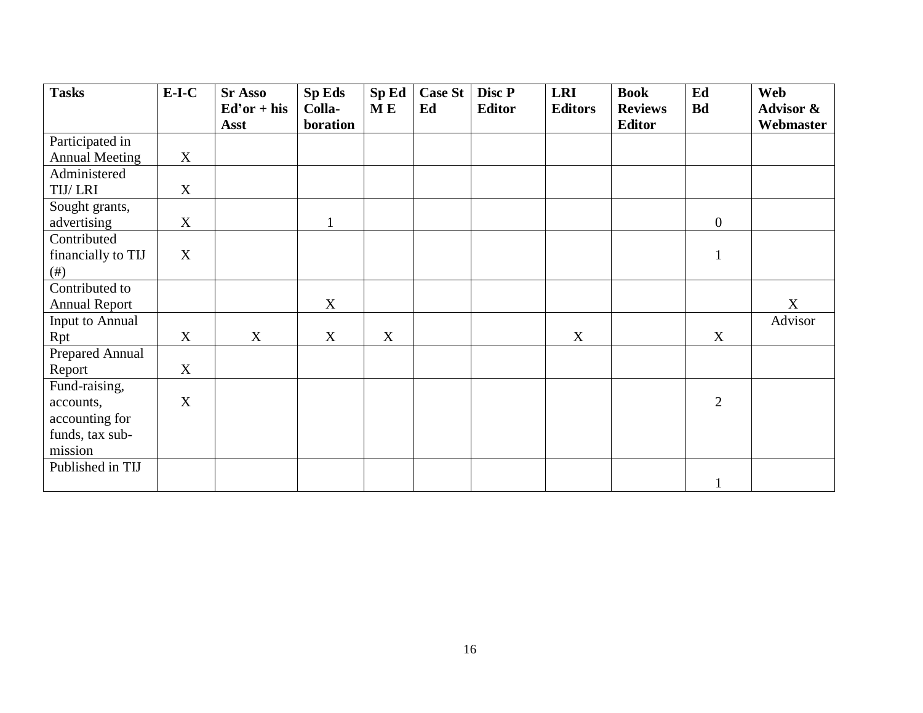| <b>Tasks</b>          | $E-I-C$ | <b>Sr Asso</b> | <b>Sp Eds</b> | SpEd        | <b>Case St</b> | Disc P        | <b>LRI</b>     | <b>Book</b>    | Ed             | Web       |
|-----------------------|---------|----------------|---------------|-------------|----------------|---------------|----------------|----------------|----------------|-----------|
|                       |         | $Ed'or + his$  | Colla-        | <b>ME</b>   | Ed             | <b>Editor</b> | <b>Editors</b> | <b>Reviews</b> | <b>Bd</b>      | Advisor & |
|                       |         | Asst           | boration      |             |                |               |                | <b>Editor</b>  |                | Webmaster |
| Participated in       |         |                |               |             |                |               |                |                |                |           |
| <b>Annual Meeting</b> | X       |                |               |             |                |               |                |                |                |           |
| Administered          |         |                |               |             |                |               |                |                |                |           |
| TIJ/LRI               | X       |                |               |             |                |               |                |                |                |           |
| Sought grants,        |         |                |               |             |                |               |                |                |                |           |
| advertising           | X       |                |               |             |                |               |                |                | $\overline{0}$ |           |
| Contributed           |         |                |               |             |                |               |                |                |                |           |
| financially to TIJ    | X       |                |               |             |                |               |                |                | $\mathbf{1}$   |           |
| (# )                  |         |                |               |             |                |               |                |                |                |           |
| Contributed to        |         |                |               |             |                |               |                |                |                |           |
| <b>Annual Report</b>  |         |                | X             |             |                |               |                |                |                | X         |
| Input to Annual       |         |                |               |             |                |               |                |                |                | Advisor   |
| Rpt                   | X       | X              | X             | $\mathbf X$ |                |               | $\mathbf X$    |                | X              |           |
| Prepared Annual       |         |                |               |             |                |               |                |                |                |           |
| Report                | X       |                |               |             |                |               |                |                |                |           |
| Fund-raising,         |         |                |               |             |                |               |                |                |                |           |
| accounts,             | X       |                |               |             |                |               |                |                | $\overline{2}$ |           |
| accounting for        |         |                |               |             |                |               |                |                |                |           |
| funds, tax sub-       |         |                |               |             |                |               |                |                |                |           |
| mission               |         |                |               |             |                |               |                |                |                |           |
| Published in TIJ      |         |                |               |             |                |               |                |                |                |           |
|                       |         |                |               |             |                |               |                |                | $\mathbf{1}$   |           |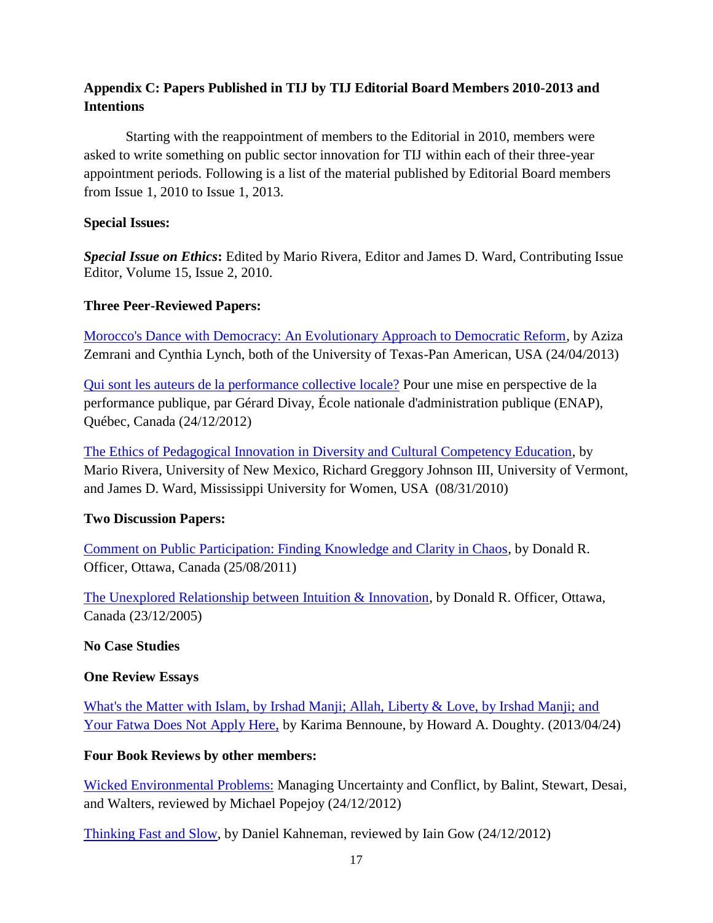## **Appendix C: Papers Published in TIJ by TIJ Editorial Board Members 2010-2013 and Intentions**

Starting with the reappointment of members to the Editorial in 2010, members were asked to write something on public sector innovation for TIJ within each of their three-year appointment periods. Following is a list of the material published by Editorial Board members from Issue 1, 2010 to Issue 1, 2013.

### **Special Issues:**

*Special Issue on Ethics***:** Edited by Mario Rivera, Editor and James D. Ward, Contributing Issue Editor, Volume 15, Issue 2, 2010.

### **Three Peer-Reviewed Papers:**

[Morocco's Dance with Democracy: An Evolutionary Approach to Democratic Reform,](http://www.innovation.cc/scholarly-style/aziza_cynthia_final18vi1a7.pdf) by Aziza Zemrani and Cynthia Lynch, both of the University of Texas-Pan American, USA (24/04/2013)

[Qui sont les auteurs de la performance collective locale?](http://www.innovation.cc/francais/divay_auteurs_performance2v17i3a1e.pdf) Pour une mise en perspective de la performance publique, par Gérard Divay, École nationale d'administration publique (ENAP), Québec, Canada (24/12/2012)

[The Ethics of Pedagogical Innovation in Diversity and Cultural Competency Education,](http://www.innovation.cc/scholarly-style/ethics_pedagogical_diversity_education3final.pdf) by Mario Rivera, University of New Mexico, Richard Greggory Johnson III, University of Vermont, and James D. Ward, Mississippi University for Women, USA (08/31/2010)

## **Two Discussion Papers:**

[Comment on Public Participation: Finding Knowledge and Clarity in Chaos,](http://www.innovation.cc/discussion-papers/officer-comment131public_participation_v16i2a7.pdf) by Donald R. Officer, Ottawa, Canada (25/08/2011)

[The Unexplored Relationship between Intuition & Innovation,](http://www.innovation.cc/discussion-papers/officer_unexplored_relation3rev2v10i3a10.pdf) by Donald R. Officer, Ottawa, Canada (23/12/2005)

## **No Case Studies**

## **One Review Essays**

[What's the Matter with Islam, by Irshad Manji; Allah, Liberty & Love, by Irshad Manji; and](http://www.innovation.cc/book-reviews/rev_doughty_assay_manji18vi1a13.pdf)  [Your Fatwa Does Not Apply Here,](http://www.innovation.cc/book-reviews/rev_doughty_assay_manji18vi1a13.pdf) by Karima Bennoune, by Howard A. Doughty. (2013/04/24)

## **Four Book Reviews by other members:**

[Wicked Environmental Problems:](http://www.innovation.cc/book-reviews/popejoy_michael_bk_rev_balint2v17i3a15.pdf) Managing Uncertainty and Conflict, by Balint, Stewart, Desai, and Walters, reviewed by Michael Popejoy (24/12/2012)

[Thinking Fast and Slow,](http://www.innovation.cc/book-reviews/gow_bk_rev_iain_kahneman1v17i3a10.pdf) by Daniel Kahneman, reviewed by Iain Gow (24/12/2012)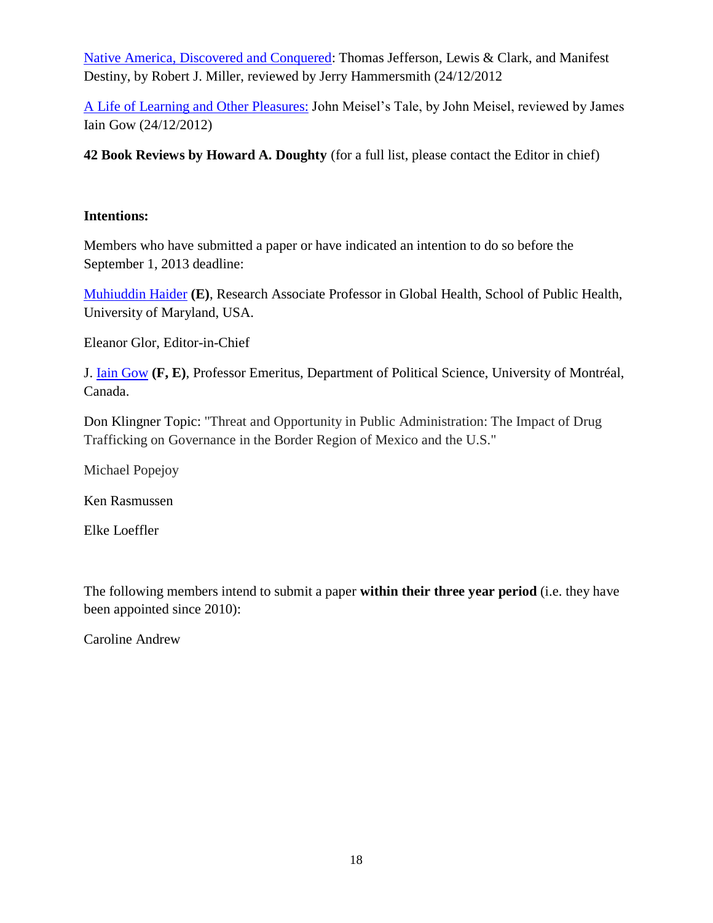[Native America, Discovered and Conquered:](http://www.innovation.cc/book-reviews/miller_robert_bk_rev_jerry_hammersmith2v17i3a12.pdf) Thomas Jefferson, Lewis & Clark, and Manifest Destiny, by Robert J. Miller, reviewed by Jerry Hammersmith (24/12/2012

[A Life of Learning and Other Pleasures:](http://www.innovation.cc/book-reviews/gow_iain_bk_rev_meisel2v17i3a16.pdf) John Meisel's Tale, by John Meisel, reviewed by James Iain Gow (24/12/2012)

**42 Book Reviews by Howard A. Doughty** (for a full list, please contact the Editor in chief)

### **Intentions:**

Members who have submitted a paper or have indicated an intention to do so before the September 1, 2013 deadline:

[Muhiuddin Haider](http://www.innovation.cc/editorial-board/haider.htm) **(E)**, Research Associate Professor in Global Health, School of Public Health, University of Maryland, USA.

Eleanor Glor, Editor-in-Chief

J. [Iain Gow](http://www.innovation.cc/editorial-board/grow_english_cv.htm) **(F, E)**, Professor Emeritus, Department of Political Science, University of Montréal, Canada.

Don Klingner Topic: "Threat and Opportunity in Public Administration: The Impact of Drug Trafficking on Governance in the Border Region of Mexico and the U.S."

Michael Popejoy

Ken Rasmussen

Elke Loeffler

The following members intend to submit a paper **within their three year period** (i.e. they have been appointed since 2010):

Caroline Andrew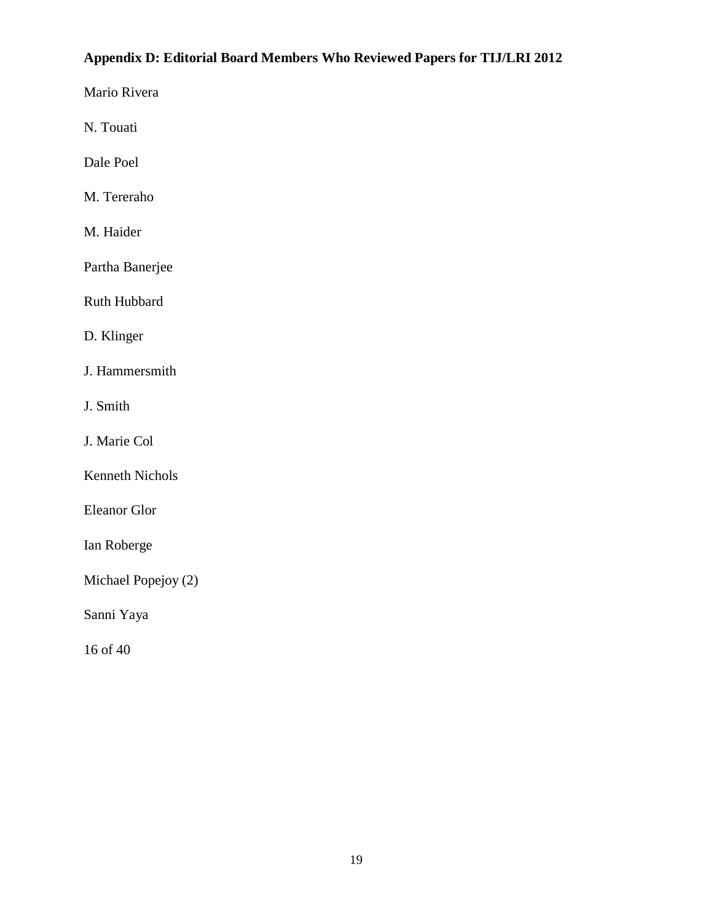## **Appendix D: Editorial Board Members Who Reviewed Papers for TIJ/LRI 2012**

Mario Rivera

N. Touati

Dale Poel

M. Tereraho

M. Haider

Partha Banerjee

Ruth Hubbard

D. Klinger

J. Hammersmith

J. Smith

J. Marie Col

Kenneth Nichols

Eleanor Glor

Ian Roberge

Michael Popejoy (2)

Sanni Yaya

16 of 40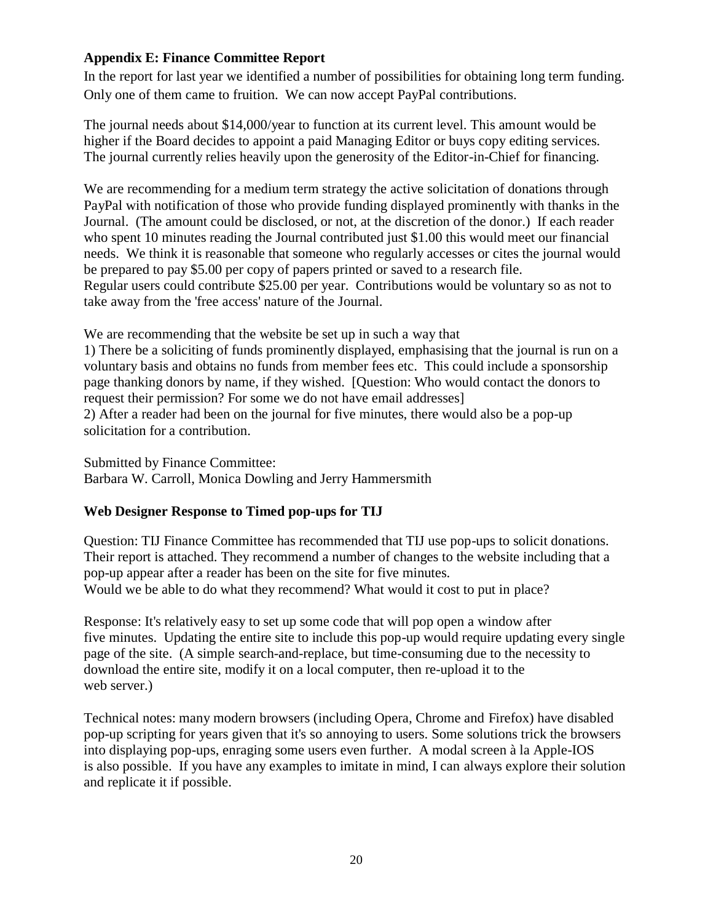## **Appendix E: Finance Committee Report**

In the report for last year we identified a number of possibilities for obtaining long term funding. Only one of them came to fruition. We can now accept PayPal contributions.

The journal needs about \$14,000/year to function at its current level. This amount would be higher if the Board decides to appoint a paid Managing Editor or buys copy editing services. The journal currently relies heavily upon the generosity of the Editor-in-Chief for financing.

We are recommending for a medium term strategy the active solicitation of donations through PayPal with notification of those who provide funding displayed prominently with thanks in the Journal. (The amount could be disclosed, or not, at the discretion of the donor.) If each reader who spent 10 minutes reading the Journal contributed just \$1.00 this would meet our financial needs. We think it is reasonable that someone who regularly accesses or cites the journal would be prepared to pay \$5.00 per copy of papers printed or saved to a research file. Regular users could contribute \$25.00 per year. Contributions would be voluntary so as not to take away from the 'free access' nature of the Journal.

We are recommending that the website be set up in such a way that

1) There be a soliciting of funds prominently displayed, emphasising that the journal is run on a voluntary basis and obtains no funds from member fees etc. This could include a sponsorship page thanking donors by name, if they wished. [Question: Who would contact the donors to request their permission? For some we do not have email addresses] 2) After a reader had been on the journal for five minutes, there would also be a pop-up

solicitation for a contribution.

Submitted by Finance Committee:

Barbara W. Carroll, Monica Dowling and Jerry Hammersmith

## **Web Designer Response to Timed pop-ups for TIJ**

Question: TIJ Finance Committee has recommended that TIJ use pop-ups to solicit donations. Their report is attached. They recommend a number of changes to the website including that a pop-up appear after a reader has been on the site for five minutes. Would we be able to do what they recommend? What would it cost to put in place?

Response: It's relatively easy to set up some code that will pop open a window after five minutes. Updating the entire site to include this pop-up would require updating every single page of the site. (A simple search-and-replace, but time-consuming due to the necessity to download the entire site, modify it on a local computer, then re-upload it to the web server.)

Technical notes: many modern browsers (including Opera, Chrome and Firefox) have disabled pop-up scripting for years given that it's so annoying to users. Some solutions trick the browsers into displaying pop-ups, enraging some users even further. A modal screen à la Apple-IOS is also possible. If you have any examples to imitate in mind, I can always explore their solution and replicate it if possible.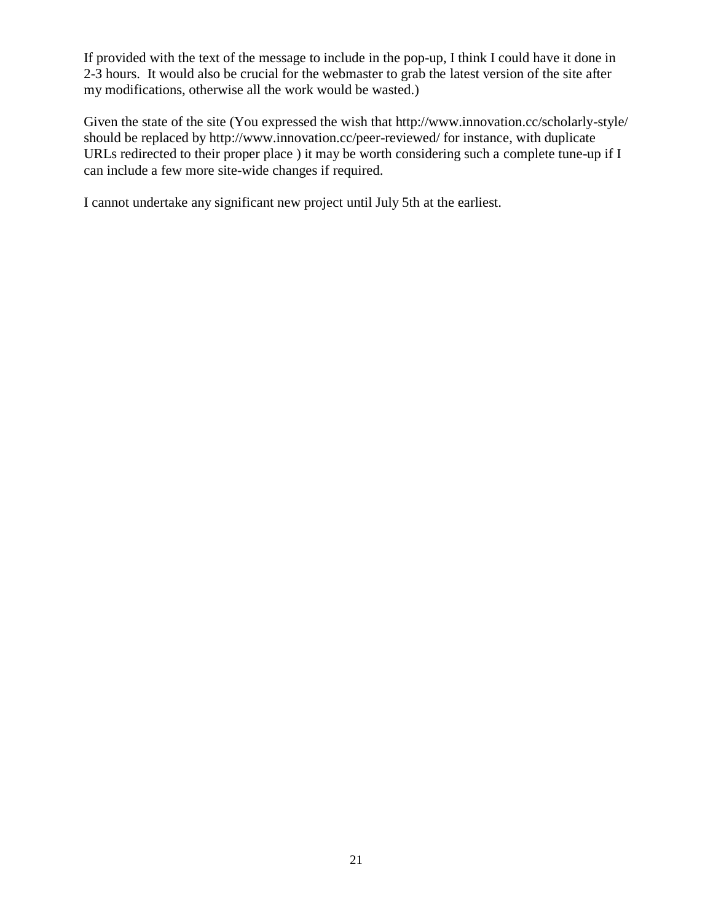If provided with the text of the message to include in the pop-up, I think I could have it done in 2-3 hours. It would also be crucial for the webmaster to grab the latest version of the site after my modifications, otherwise all the work would be wasted.)

Given the state of the site (You expressed the wish that http://www.innovation.cc/scholarly-style/ should be replaced by http://www.innovation.cc/peer-reviewed/ for instance, with duplicate URLs redirected to their proper place ) it may be worth considering such a complete tune-up if I can include a few more site-wide changes if required.

I cannot undertake any significant new project until July 5th at the earliest.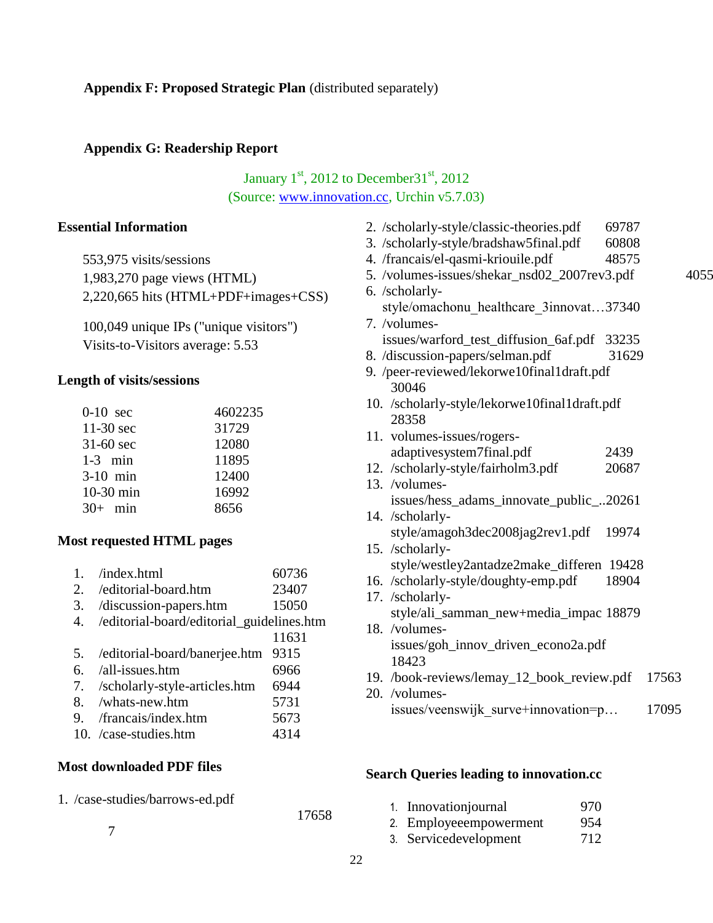### **Appendix G: Readership Report**

## January  $1<sup>st</sup>$ , 2012 to December 31 $<sup>st</sup>$ , 2012</sup> (Source: [www.innovation.cc,](http://www.innovation.cc/) Urchin v5.7.03)

### **Essential Information**

| 553,975 visits/sessions              |
|--------------------------------------|
| 1,983,270 page views (HTML)          |
| 2,220,665 hits (HTML+PDF+images+CSS) |

100,049 unique IPs ("unique visitors") Visits-to-Visitors average: 5.53

### **Length of visits/sessions**

| $0-10$ sec  | 4602235 |
|-------------|---------|
| $11-30$ sec | 31729   |
| $31-60$ sec | 12080   |
| $1-3$ min   | 11895   |
| $3-10$ min  | 12400   |
| 10-30 min   | 16992   |
| $30+$ min   | 8656    |

#### **Most requested HTML pages**

| 1. | /index.html | 60736 |
|----|-------------|-------|
|    |             |       |

- 2. /editorial-board.htm 23407
- 3. /discussion-papers.htm 15050
- 4. /editorial-board/editorial\_guidelines.htm 11631
- 5. /editorial-board/banerjee.htm 9315
- 6. /all-issues.htm 6966
- 7. /scholarly-style-articles.htm 6944
- 8. /whats-new.htm 5731
- 9. /francais/index.htm 5673
- 10. /case-studies.htm 4314

#### **Most downloaded PDF files**

7

1. /case-studies/barrows-ed.pdf

17658

| 2. /scholarly-style/classic-theories.pdf      | 69787 |       |
|-----------------------------------------------|-------|-------|
| 3. /scholarly-style/bradshaw5final.pdf        | 60808 |       |
| 4. /francais/el-qasmi-kriouile.pdf            | 48575 |       |
| 5. /volumes-issues/shekar_nsd02_2007rev3.pdf  |       | 4055  |
| 6. /scholarly-                                |       |       |
| style/omachonu_healthcare_3innovat37340       |       |       |
| 7. /volumes-                                  |       |       |
| issues/warford_test_diffusion_6af.pdf 33235   |       |       |
| 8. /discussion-papers/selman.pdf              | 31629 |       |
| 9. /peer-reviewed/lekorwe10final1draft.pdf    |       |       |
| 30046                                         |       |       |
| 10. /scholarly-style/lekorwe10final1draft.pdf |       |       |
| 28358                                         |       |       |
| 11. volumes-issues/rogers-                    |       |       |
| adaptivesystem7final.pdf                      | 2439  |       |
| 12. /scholarly-style/fairholm3.pdf            | 20687 |       |
| 13. /volumes-                                 |       |       |
| issues/hess_adams_innovate_public_20261       |       |       |
| 14. /scholarly-                               |       |       |
| style/amagoh3dec2008jag2rev1.pdf 19974        |       |       |
| 15. /scholarly-                               |       |       |
| style/westley2antadze2make_differen 19428     |       |       |
| 16. /scholarly-style/doughty-emp.pdf          | 18904 |       |
| 17. /scholarly-                               |       |       |
| style/ali_samman_new+media_impac 18879        |       |       |
| 18. /volumes-                                 |       |       |
| issues/goh_innov_driven_econo2a.pdf           |       |       |
| 18423                                         |       |       |
| 19. /book-reviews/lemay_12_book_review.pdf    |       | 17563 |
| 20. /volumes-                                 |       |       |
| issues/veenswijk_surve+innovation=p           |       | 17095 |

#### **Search Queries leading to innovation.cc**

| 1. Innovationjournal   | 970 |
|------------------------|-----|
| 2. Employeeempowerment | 954 |
| 3. Servicedevelopment  | 712 |

22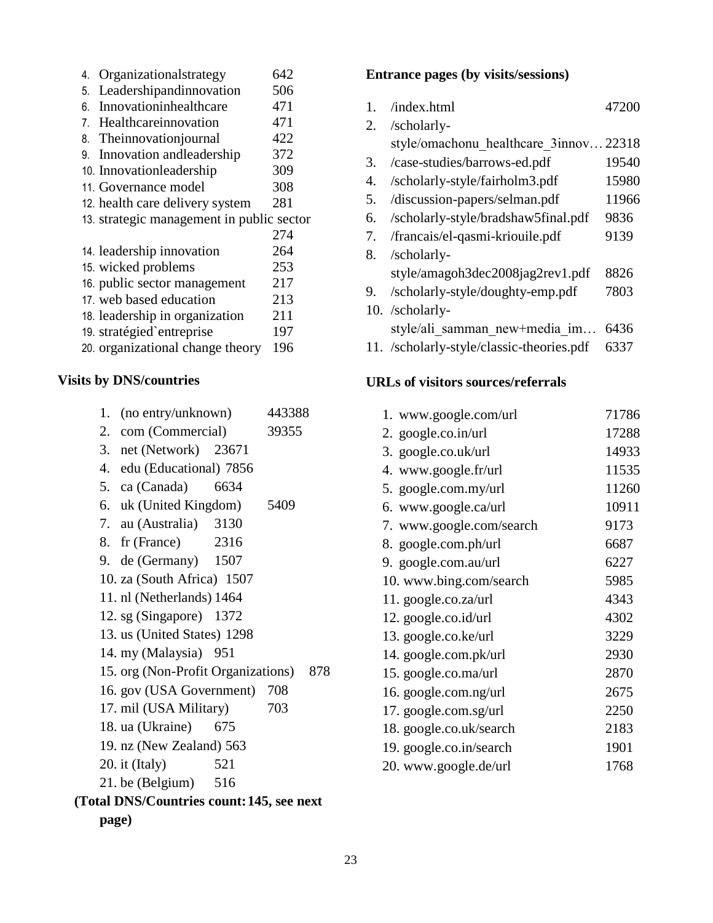| 4. | Organizationalstrategy                    | 642 |
|----|-------------------------------------------|-----|
| 5. | Leadershipandinnovation                   | 506 |
| 6. | Innovationinhealthcare                    | 471 |
| 7. | Healthcareinnovation                      | 471 |
| 8. | Theinnovationjournal                      | 422 |
| 9. | Innovation and leadership                 | 372 |
|    | 10. Innovationleadership                  | 309 |
|    | 11. Governance model                      | 308 |
|    | 12. health care delivery system           | 281 |
|    | 13. strategic management in public sector |     |
|    |                                           | 274 |
|    | 14. leadership innovation                 | 264 |
|    | 15. wicked problems                       | 253 |
|    | 16. public sector management              | 217 |
|    | 17. web based education                   | 213 |
|    | 18. leadership in organization            | 211 |
|    | 19. stratégied`entreprise                 | 197 |
|    | 20. organizational change theory          | 196 |

#### **Visits by DNS/countries**

| 1. (no entry/unknown) | 443388 |
|-----------------------|--------|
| 2. com (Commercial)   | 39355  |

- 3. net (Network) 23671
- 
- 4. edu (Educational) 7856
- 5. ca (Canada) 6634
- 6. uk (United Kingdom) 5409
- 7. au (Australia) 3130
- 8. fr (France) 2316
- 9. de (Germany) 1507
- 10. za (South Africa) 1507
- 11. nl (Netherlands) 1464
- 12. sg (Singapore) 1372
- 13. us (United States) 1298
- 14. my (Malaysia) 951
- 15. org (Non-Profit Organizations) 878
- 16. gov (USA Government) 708
- 17. mil (USA Military) 703
- 18. ua (Ukraine) 675
- 19. nz (New Zealand) 563
- 20. it (Italy) 521
- 21. be (Belgium) 516

## **(Total DNS/Countries count:145, see next page)**

#### **Entrance pages (by visits/sessions)**

| 1. | /index.html                                                                                                                         | 47200 |
|----|-------------------------------------------------------------------------------------------------------------------------------------|-------|
| 2. | /scholarly-                                                                                                                         |       |
|    | style/omachonu healthcare 3innov22318                                                                                               |       |
| 3. | /case-studies/barrows-ed.pdf                                                                                                        | 19540 |
| 4. | /scholarly-style/fairholm3.pdf                                                                                                      | 15980 |
| 5. | /discussion-papers/selman.pdf                                                                                                       | 11966 |
| 6. | /scholarly-style/bradshaw5final.pdf                                                                                                 | 9836  |
| 7. | /francais/el-qasmi-kriouile.pdf                                                                                                     | 9139  |
| 8. | /scholarly-                                                                                                                         |       |
|    | style/amagoh3dec2008jag2rev1.pdf                                                                                                    | 8826  |
| 9. | /scholarly-style/doughty-emp.pdf                                                                                                    | 7803  |
|    | 10. /scholarly-                                                                                                                     |       |
|    | style/ali samman new+media im 6436                                                                                                  |       |
|    | $\mathbf{y}$ and $\mathbf{y}$ and $\mathbf{y}$ and $\mathbf{y}$ and $\mathbf{y}$ and $\mathbf{y}$ and $\mathbf{y}$ and $\mathbf{y}$ |       |

11. /scholarly-style/classic-theories.pdf 6337

### **URLs of visitors sources/referrals**

| 1. www.google.com/url    | 71786 |
|--------------------------|-------|
| 2. google.co.in/url      | 17288 |
| 3. google.co.uk/url      | 14933 |
| 4. www.google.fr/url     | 11535 |
| 5. google.com.my/url     | 11260 |
| 6. www.google.ca/url     | 10911 |
| 7. www.google.com/search | 9173  |
| 8. google.com.ph/url     | 6687  |
| 9. google.com.au/url     | 6227  |
| 10. www.bing.com/search  | 5985  |
| 11. google.co.za/url     | 4343  |
| 12. google.co.id/url     | 4302  |
| 13. google.co.ke/url     | 3229  |
| 14. google.com.pk/url    | 2930  |
| 15. google.co.ma/url     | 2870  |
| 16. google.com.ng/url    | 2675  |
| 17. google.com.sg/url    | 2250  |
| 18. google.co.uk/search  | 2183  |
| 19. google.co.in/search  | 1901  |
| 20. www.google.de/url    | 1768  |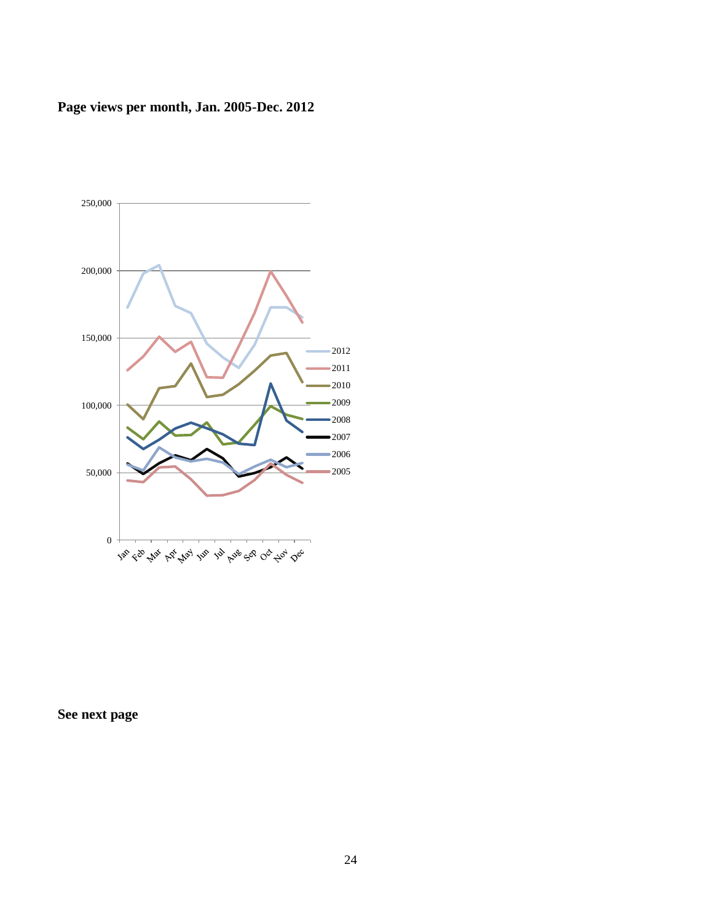# **Page views per month, Jan. 2005-Dec. 2012**



**See next page**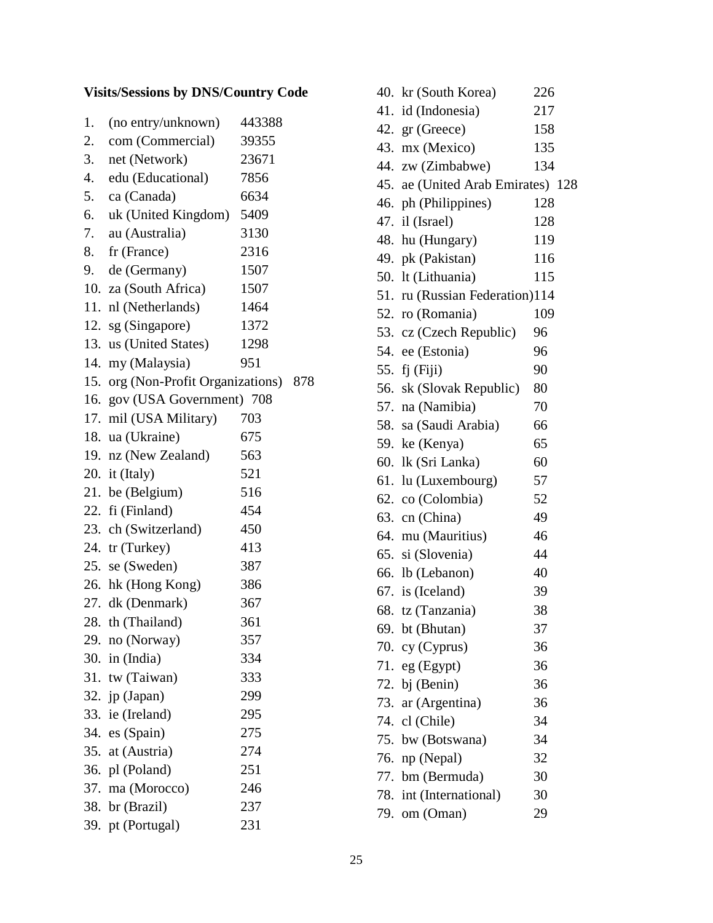# **Visits/Sessions by DNS/Country Code**

| 1. | (no entry/unknown)                 | 443388 |     |
|----|------------------------------------|--------|-----|
| 2. | com (Commercial)                   | 39355  |     |
| 3. | net (Network)                      | 23671  |     |
| 4. | edu (Educational)                  | 7856   |     |
| 5. | ca (Canada)                        | 6634   |     |
| 6. | uk (United Kingdom)                | 5409   |     |
| 7. | au (Australia)                     | 3130   |     |
| 8. | fr (France)                        | 2316   |     |
| 9. | de (Germany)                       | 1507   |     |
|    | 10. za (South Africa)              | 1507   |     |
|    | 11. nl (Netherlands)               | 1464   |     |
|    | 12. sg (Singapore)                 | 1372   |     |
|    | 13. us (United States)             | 1298   |     |
|    | 14. my (Malaysia)                  | 951    |     |
|    | 15. org (Non-Profit Organizations) |        | 878 |
|    | 16. gov (USA Government) 708       |        |     |
|    | 17. mil (USA Military)             | 703    |     |
|    | 18. ua (Ukraine)                   | 675    |     |
|    | 19. nz (New Zealand)               | 563    |     |
|    | 20. it (Italy)                     | 521    |     |
|    | 21. be (Belgium)                   | 516    |     |
|    | 22. fi (Finland)                   | 454    |     |
|    | 23. ch (Switzerland)               | 450    |     |
|    | 24. tr (Turkey)                    | 413    |     |
|    | 25. se (Sweden)                    | 387    |     |
|    | 26. hk (Hong Kong)                 | 386    |     |
|    | 27. dk (Denmark)                   | 367    |     |
|    | 28. th (Thailand)                  | 361    |     |
|    | 29. no (Norway)                    | 357    |     |
|    | 30. in $(India)$                   | 334    |     |
|    | 31. tw (Taiwan)                    | 333    |     |
|    | 32. jp (Japan)                     | 299    |     |
|    | 33. ie (Ireland)                   | 295    |     |
|    | 34. es (Spain)                     | 275    |     |
|    | 35. at (Austria)                   | 274    |     |
|    | 36. pl (Poland)                    | 251    |     |
|    | 37. ma (Morocco)                   | 246    |     |
|    | 38. br (Brazil)                    | 237    |     |
|    | 39. pt (Portugal)                  | 231    |     |

| 40. kr (South Korea)              | 226 |
|-----------------------------------|-----|
| 41. id (Indonesia)                | 217 |
| 42. gr (Greece)                   | 158 |
| 43. mx (Mexico)                   | 135 |
| 44. zw (Zimbabwe)                 | 134 |
| 45. ae (United Arab Emirates) 128 |     |
| 46. ph (Philippines)              | 128 |
| 47. il (Israel)                   | 128 |
| 48. hu (Hungary)                  | 119 |
| 49. pk (Pakistan)                 | 116 |
| 50. lt (Lithuania)                | 115 |
| 51. ru (Russian Federation)114    |     |
| 52. ro (Romania)                  | 109 |
| 53. cz (Czech Republic)           | 96  |
| 54. ee (Estonia)                  | 96  |
| 55. fj (Fiji)                     | 90  |
| 56. sk (Slovak Republic)          | 80  |
| 57. na (Namibia)                  | 70  |
| 58. sa (Saudi Arabia)             | 66  |
| 59. ke (Kenya)                    | 65  |
| 60. lk (Sri Lanka)                | 60  |
| 61. lu (Luxembourg)               | 57  |
| 62. co (Colombia)                 | 52  |
| 63. cn (China)                    | 49  |
| 64. mu (Mauritius)                | 46  |
| 65. si (Slovenia)                 | 44  |
| 66. lb (Lebanon)                  | 40  |
| 67. is (Iceland)                  | 39  |
| 68. tz (Tanzania)                 | 38  |
| 69. bt (Bhutan)                   | 37  |
| 70. cy (Cyprus)                   | 36  |
| 71. eg $(Egypt)$                  | 36  |
| 72. bj (Benin)                    | 36  |
| 73. ar (Argentina)                | 36  |
| 74. cl (Chile)                    | 34  |
| 75. bw (Botswana)                 | 34  |
| 76. np (Nepal)                    | 32  |
| 77. bm (Bermuda)                  | 30  |
| 78. int (International)           | 30  |
| 79. om (Oman)                     | 29  |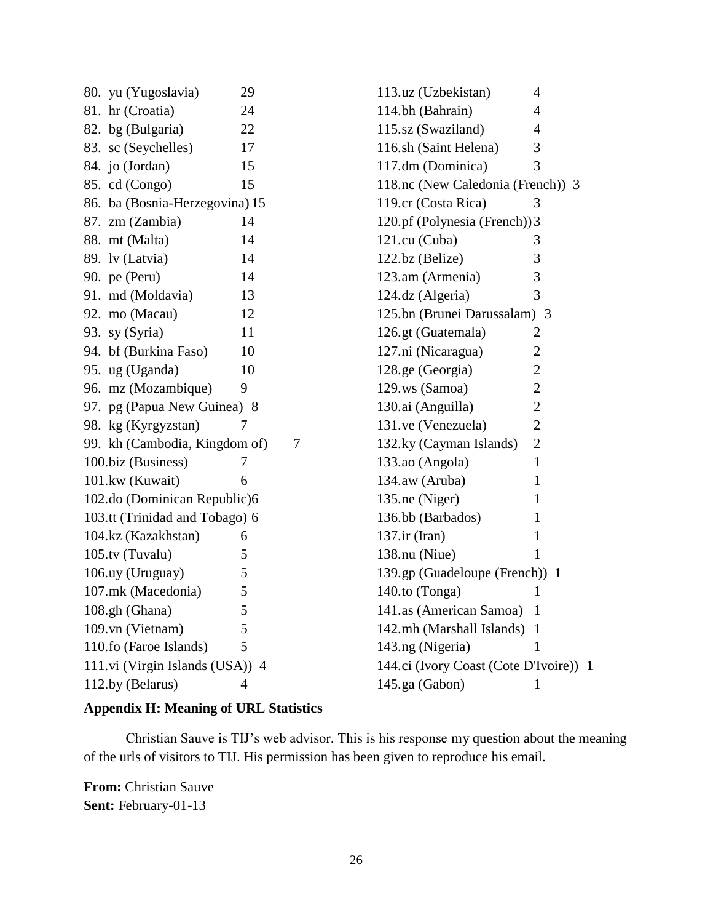| 80. yu (Yugoslavia)             | 29               | 113.uz (Uzbekistan)                    | 4              |
|---------------------------------|------------------|----------------------------------------|----------------|
| 81. hr (Croatia)                | 24               | 114.bh (Bahrain)                       | 4              |
| 82. bg (Bulgaria)               | 22               | 115.sz (Swaziland)                     | $\overline{4}$ |
| 83. sc (Seychelles)             | 17               | 116.sh (Saint Helena)                  | 3              |
| 84. jo (Jordan)                 | 15               | 117.dm (Dominica)                      | 3              |
| 85. cd (Congo)                  | 15               | 118.nc (New Caledonia (French)) 3      |                |
| 86. ba (Bosnia-Herzegovina) 15  |                  | 119.cr (Costa Rica)                    | 3              |
| 87. zm (Zambia)                 | 14               | 120.pf (Polynesia (French)) 3          |                |
| 88. mt (Malta)                  | 14               | 121.cu (Cuba)                          | 3              |
| 89. lv (Latvia)                 | 14               | 122.bz (Belize)                        | 3              |
| 90. pe (Peru)                   | 14               | 123.am (Armenia)                       | 3              |
| 91. md (Moldavia)               | 13               | 124.dz (Algeria)                       | 3              |
| 92. mo (Macau)                  | 12               | 125.bn (Brunei Darussalam) 3           |                |
| 93. sy (Syria)                  | 11               | 126.gt (Guatemala)                     | $\overline{2}$ |
| 94. bf (Burkina Faso)           | 10               | 127.ni (Nicaragua)                     | $\mathbf{2}$   |
| 95. ug (Uganda)                 | 10               | 128.ge (Georgia)                       | $\overline{2}$ |
| 96. mz (Mozambique)             | 9                | 129.ws (Samoa)                         | $\overline{2}$ |
| 97. pg (Papua New Guinea) 8     |                  | 130.ai (Anguilla)                      | $\overline{2}$ |
| 98. kg (Kyrgyzstan)             | 7                | 131.ve (Venezuela)                     | $\overline{2}$ |
| 99. kh (Cambodia, Kingdom of)   | $\boldsymbol{7}$ | 132.ky (Cayman Islands)                | $\overline{2}$ |
| 100.biz (Business)              | 7                | 133.ao (Angola)                        | $\mathbf{1}$   |
| 101.kw (Kuwait)                 | 6                | 134.aw (Aruba)                         | $\mathbf{1}$   |
| 102.do (Dominican Republic)6    |                  | 135.ne (Niger)                         | 1              |
| 103.tt (Trinidad and Tobago) 6  |                  | 136.bb (Barbados)                      | 1              |
| 104.kz (Kazakhstan)             | 6                | $137.$ ir (Iran)                       | 1              |
| 105.tv (Tuvalu)                 | 5                | 138.nu (Niue)                          | 1              |
| 106.uy (Uruguay)                | 5                | 139.gp (Guadeloupe (French)) 1         |                |
| 107.mk (Macedonia)              | 5                | 140.to (Tonga)                         | 1              |
| 108.gh (Ghana)                  | 5                | 141.as (American Samoa)                | $\mathbf 1$    |
| 109.vn (Vietnam)                | 5                | 142.mh (Marshall Islands) 1            |                |
| 110.fo (Faroe Islands)          | 5                | 143.ng (Nigeria)                       | 1              |
| 111.vi (Virgin Islands (USA)) 4 |                  | 144.ci (Ivory Coast (Cote D'Ivoire)) 1 |                |
| 112.by (Belarus)                | $\overline{4}$   | 145.ga (Gabon)                         | $\mathbf{1}$   |

## **Appendix H: Meaning of URL Statistics**

Christian Sauve is TIJ's web advisor. This is his response my question about the meaning of the urls of visitors to TIJ. His permission has been given to reproduce his email.

**From:** Christian Sauve **Sent:** February-01-13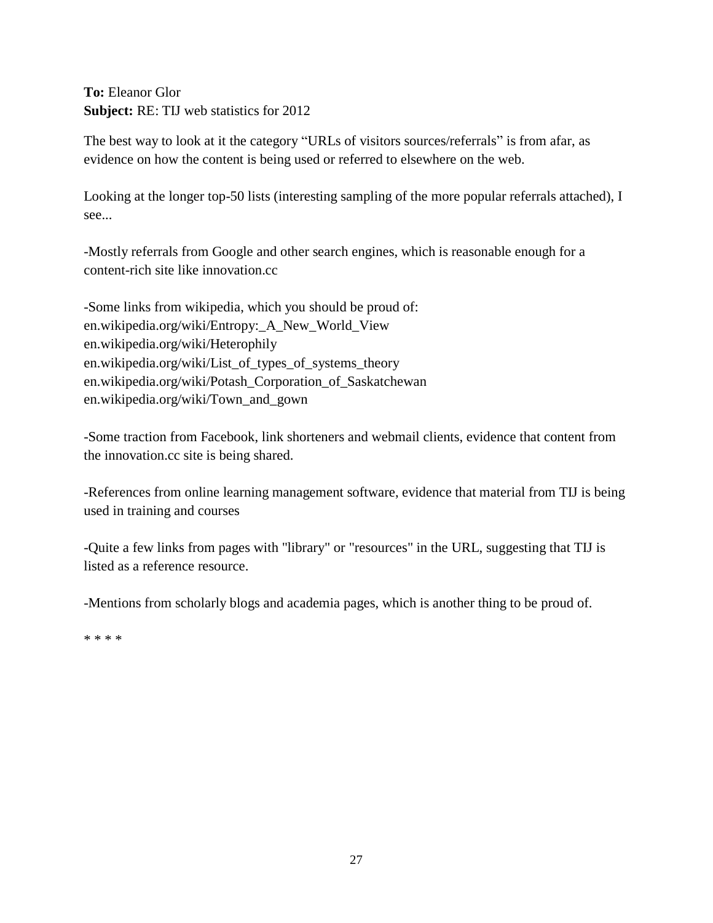## **To:** Eleanor Glor **Subject:** RE: TIJ web statistics for 2012

The best way to look at it the category "URLs of visitors sources/referrals" is from afar, as evidence on how the content is being used or referred to elsewhere on the web.

Looking at the longer top-50 lists (interesting sampling of the more popular referrals attached), I see...

-Mostly referrals from Google and other search engines, which is reasonable enough for a content-rich site like innovation.cc

-Some links from wikipedia, which you should be proud of: en.wikipedia.org/wiki/Entropy:\_A\_New\_World\_View en.wikipedia.org/wiki/Heterophily en.wikipedia.org/wiki/List\_of\_types\_of\_systems\_theory en.wikipedia.org/wiki/Potash\_Corporation\_of\_Saskatchewan en.wikipedia.org/wiki/Town\_and\_gown

-Some traction from Facebook, link shorteners and webmail clients, evidence that content from the innovation.cc site is being shared.

-References from online learning management software, evidence that material from TIJ is being used in training and courses

-Quite a few links from pages with "library" or "resources" in the URL, suggesting that TIJ is listed as a reference resource.

-Mentions from scholarly blogs and academia pages, which is another thing to be proud of.

\* \* \* \*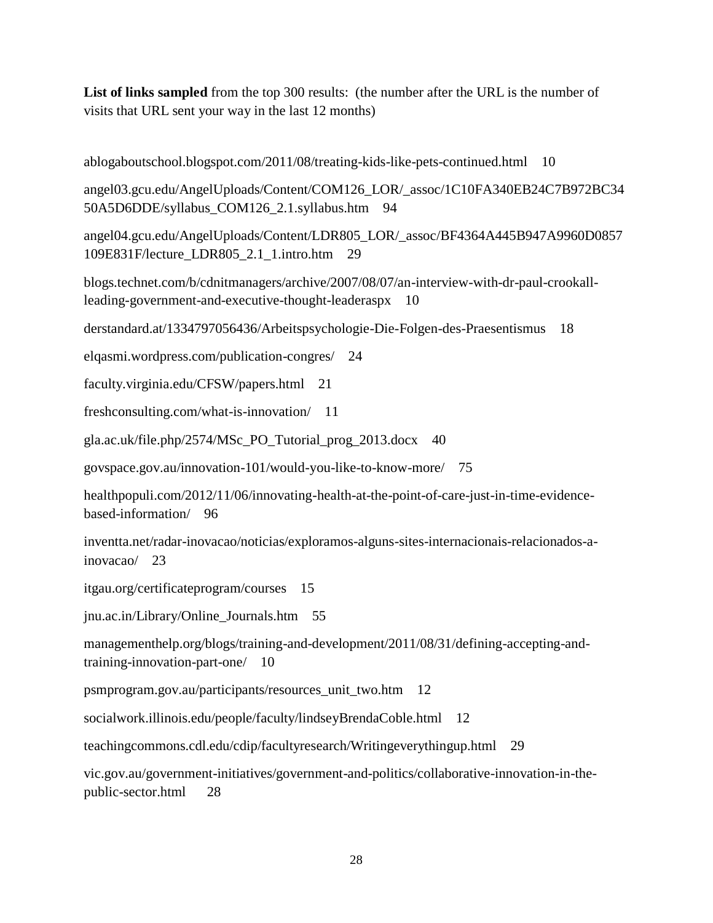List of links sampled from the top 300 results: (the number after the URL is the number of visits that URL sent your way in the last 12 months)

ablogaboutschool.blogspot.com/2011/08/treating-kids-like-pets-continued.html 10

angel03.gcu.edu/AngelUploads/Content/COM126\_LOR/\_assoc/1C10FA340EB24C7B972BC34 50A5D6DDE/syllabus\_COM126\_2.1.syllabus.htm 94

angel04.gcu.edu/AngelUploads/Content/LDR805\_LOR/\_assoc/BF4364A445B947A9960D0857 109E831F/lecture\_LDR805\_2.1\_1.intro.htm 29

blogs.technet.com/b/cdnitmanagers/archive/2007/08/07/an-interview-with-dr-paul-crookallleading-government-and-executive-thought-leaderaspx 10

derstandard.at/1334797056436/Arbeitspsychologie-Die-Folgen-des-Praesentismus 18

elqasmi.wordpress.com/publication-congres/ 24

faculty.virginia.edu/CFSW/papers.html 21

freshconsulting.com/what-is-innovation/ 11

gla.ac.uk/file.php/2574/MSc\_PO\_Tutorial\_prog\_2013.docx 40

govspace.gov.au/innovation-101/would-you-like-to-know-more/ 75

healthpopuli.com/2012/11/06/innovating-health-at-the-point-of-care-just-in-time-evidencebased-information/ 96

inventta.net/radar-inovacao/noticias/exploramos-alguns-sites-internacionais-relacionados-ainovacao/ 23

itgau.org/certificateprogram/courses 15

jnu.ac.in/Library/Online\_Journals.htm 55

managementhelp.org/blogs/training-and-development/2011/08/31/defining-accepting-andtraining-innovation-part-one/ 10

psmprogram.gov.au/participants/resources\_unit\_two.htm 12

socialwork.illinois.edu/people/faculty/lindseyBrendaCoble.html 12

teachingcommons.cdl.edu/cdip/facultyresearch/Writingeverythingup.html 29

vic.gov.au/government-initiatives/government-and-politics/collaborative-innovation-in-thepublic-sector.html 28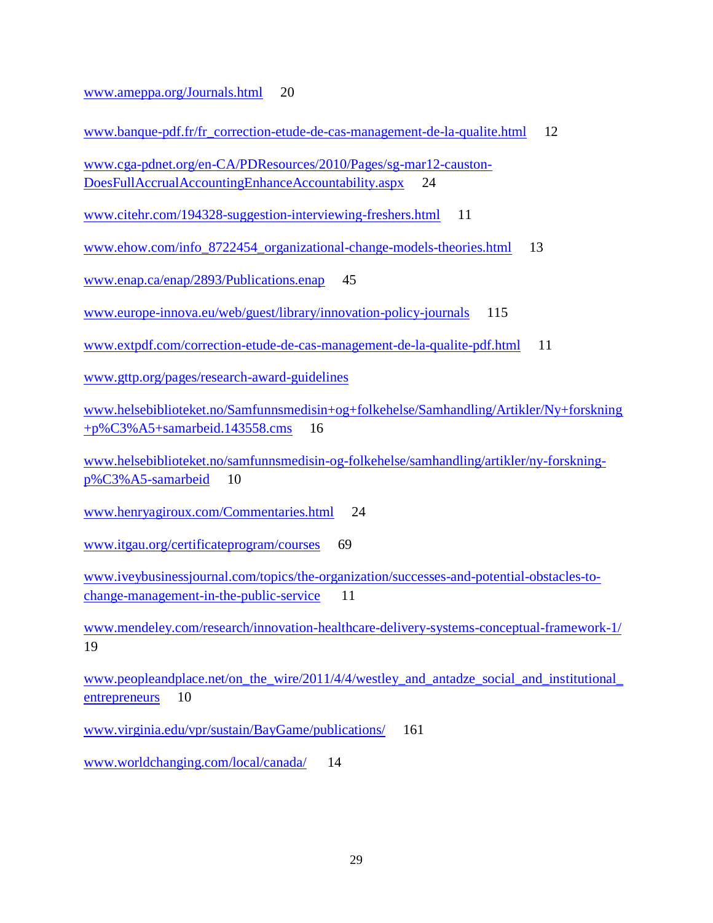[www.ameppa.org/Journals.html](http://www.ameppa.org/Journals.html) 20

www.banque-pdf.fr/fr correction-etude-de-cas-management-de-la-qualite.html 12

[www.cga-pdnet.org/en-CA/PDResources/2010/Pages/sg-mar12-causton-](http://www.cga-pdnet.org/en-CA/PDResources/2010/Pages/sg-mar12-causton-DoesFullAccrualAccountingEnhanceAccountability.aspx)[DoesFullAccrualAccountingEnhanceAccountability.aspx](http://www.cga-pdnet.org/en-CA/PDResources/2010/Pages/sg-mar12-causton-DoesFullAccrualAccountingEnhanceAccountability.aspx) 24

[www.citehr.com/194328-suggestion-interviewing-freshers.html](http://www.citehr.com/194328-suggestion-interviewing-freshers.html) 11

[www.ehow.com/info\\_8722454\\_organizational-change-models-theories.html](http://www.ehow.com/info_8722454_organizational-change-models-theories.html) 13

[www.enap.ca/enap/2893/Publications.enap](http://www.enap.ca/enap/2893/Publications.enap) 45

[www.europe-innova.eu/web/guest/library/innovation-policy-journals](http://www.europe-innova.eu/web/guest/library/innovation-policy-journals) 115

[www.extpdf.com/correction-etude-de-cas-management-de-la-qualite-pdf.html](http://www.extpdf.com/correction-etude-de-cas-management-de-la-qualite-pdf.html) 11

[www.gttp.org/pages/research-award-guidelines](http://www.gttp.org/pages/research-award-guidelines)

[www.helsebiblioteket.no/Samfunnsmedisin+og+folkehelse/Samhandling/Artikler/Ny+forskning](http://www.helsebiblioteket.no/Samfunnsmedisin+og+folkehelse/Samhandling/Artikler/Ny+forskning+p%C3%A5+samarbeid.143558.cms) [+p%C3%A5+samarbeid.143558.cms](http://www.helsebiblioteket.no/Samfunnsmedisin+og+folkehelse/Samhandling/Artikler/Ny+forskning+p%C3%A5+samarbeid.143558.cms) 16

[www.helsebiblioteket.no/samfunnsmedisin-og-folkehelse/samhandling/artikler/ny-forskning](http://www.helsebiblioteket.no/samfunnsmedisin-og-folkehelse/samhandling/artikler/ny-forskning-p%C3%A5-samarbeid)[p%C3%A5-samarbeid](http://www.helsebiblioteket.no/samfunnsmedisin-og-folkehelse/samhandling/artikler/ny-forskning-p%C3%A5-samarbeid) 10

[www.henryagiroux.com/Commentaries.html](http://www.henryagiroux.com/Commentaries.html) 24

[www.itgau.org/certificateprogram/courses](http://www.itgau.org/certificateprogram/courses) 69

[www.iveybusinessjournal.com/topics/the-organization/successes-and-potential-obstacles-to](http://www.iveybusinessjournal.com/topics/the-organization/successes-and-potential-obstacles-to-change-management-in-the-public-service)[change-management-in-the-public-service](http://www.iveybusinessjournal.com/topics/the-organization/successes-and-potential-obstacles-to-change-management-in-the-public-service) 11

[www.mendeley.com/research/innovation-healthcare-delivery-systems-conceptual-framework-1/](http://www.mendeley.com/research/innovation-healthcare-delivery-systems-conceptual-framework-1/)  19

[www.peopleandplace.net/on\\_the\\_wire/2011/4/4/westley\\_and\\_antadze\\_social\\_and\\_institutional\\_](http://www.peopleandplace.net/on_the_wire/2011/4/4/westley_and_antadze_social_and_institutional_entrepreneurs) [entrepreneurs](http://www.peopleandplace.net/on_the_wire/2011/4/4/westley_and_antadze_social_and_institutional_entrepreneurs) 10

[www.virginia.edu/vpr/sustain/BayGame/publications/](http://www.virginia.edu/vpr/sustain/BayGame/publications/) 161

[www.worldchanging.com/local/canada/](http://www.worldchanging.com/local/canada/) 14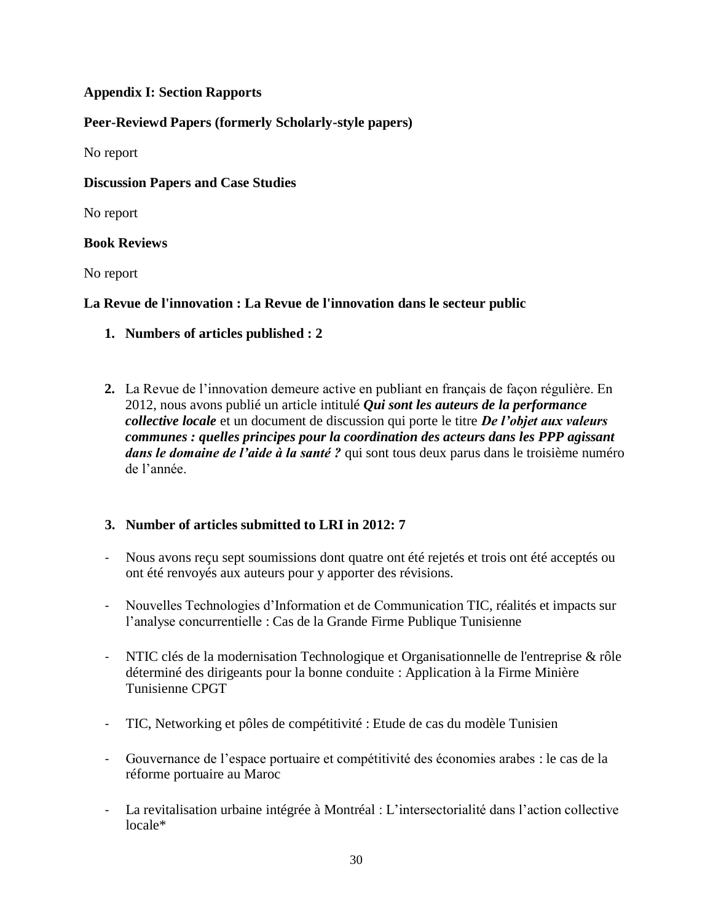## **Appendix I: Section Rapports**

## **Peer-Reviewd Papers (formerly Scholarly-style papers)**

No report

## **Discussion Papers and Case Studies**

No report

## **Book Reviews**

No report

## **La Revue de l'innovation : La Revue de l'innovation dans le secteur public**

- **1. Numbers of articles published : 2**
- **2.** La Revue de l'innovation demeure active en publiant en français de façon régulière. En 2012, nous avons publié un article intitulé *Qui sont les auteurs de la performance collective locale* et un document de discussion qui porte le titre *De l'objet aux valeurs communes : quelles principes pour la coordination des acteurs dans les PPP agissant dans le domaine de l'aide à la santé ?* qui sont tous deux parus dans le troisième numéro de l'année.

## **3. Number of articles submitted to LRI in 2012: 7**

- Nous avons reçu sept soumissions dont quatre ont été rejetés et trois ont été acceptés ou ont été renvoyés aux auteurs pour y apporter des révisions.
- Nouvelles Technologies d'Information et de Communication TIC, réalités et impacts sur l'analyse concurrentielle : Cas de la Grande Firme Publique Tunisienne
- NTIC clés de la modernisation Technologique et Organisationnelle de l'entreprise & rôle déterminé des dirigeants pour la bonne conduite : Application à la Firme Minière Tunisienne CPGT
- TIC, Networking et pôles de compétitivité : Etude de cas du modèle Tunisien
- Gouvernance de l'espace portuaire et compétitivité des économies arabes : le cas de la réforme portuaire au Maroc
- La revitalisation urbaine intégrée à Montréal : L'intersectorialité dans l'action collective locale\*